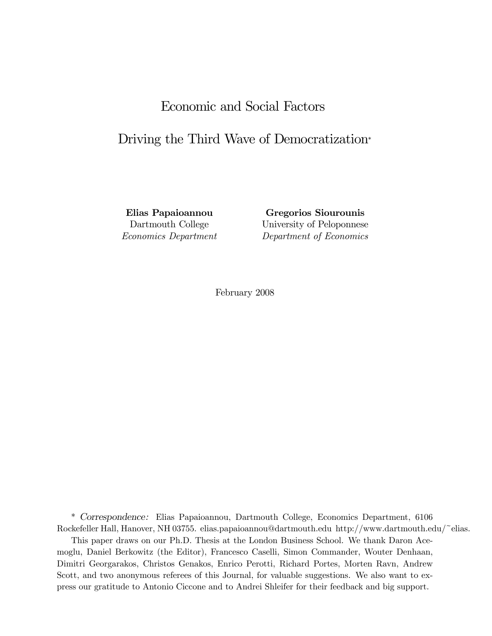# Economic and Social Factors

# Driving the Third Wave of Democratization<sup>∗</sup>

Elias Papaioannou Gregorios Siourounis Dartmouth College University of Peloponnese Economics Department Department of Economics

February 2008

\* Correspondence: Elias Papaioannou, Dartmouth College, Economics Department, 6106 Rockefeller Hall, Hanover, NH 03755. elias.papaioannou@dartmouth.edu http://www.dartmouth.edu/~elias.

This paper draws on our Ph.D. Thesis at the London Business School. We thank Daron Acemoglu, Daniel Berkowitz (the Editor), Francesco Caselli, Simon Commander, Wouter Denhaan, Dimitri Georgarakos, Christos Genakos, Enrico Perotti, Richard Portes, Morten Ravn, Andrew Scott, and two anonymous referees of this Journal, for valuable suggestions. We also want to express our gratitude to Antonio Ciccone and to Andrei Shleifer for their feedback and big support.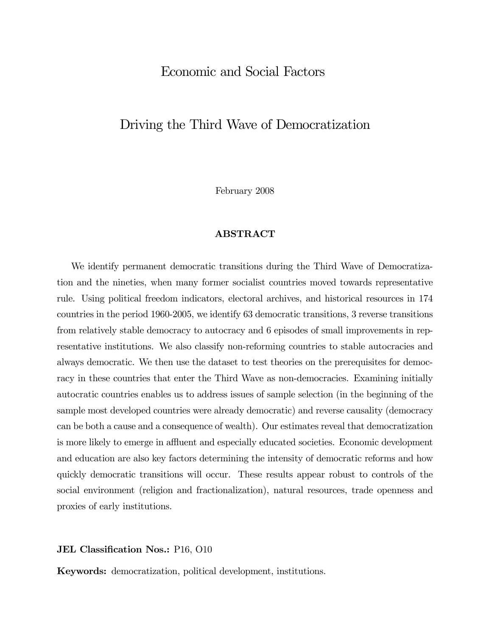## Economic and Social Factors

## Driving the Third Wave of Democratization

February 2008

### ABSTRACT

We identify permanent democratic transitions during the Third Wave of Democratization and the nineties, when many former socialist countries moved towards representative rule. Using political freedom indicators, electoral archives, and historical resources in 174 countries in the period 1960-2005, we identify 63 democratic transitions, 3 reverse transitions from relatively stable democracy to autocracy and 6 episodes of small improvements in representative institutions. We also classify non-reforming countries to stable autocracies and always democratic. We then use the dataset to test theories on the prerequisites for democracy in these countries that enter the Third Wave as non-democracies. Examining initially autocratic countries enables us to address issues of sample selection (in the beginning of the sample most developed countries were already democratic) and reverse causality (democracy can be both a cause and a consequence of wealth). Our estimates reveal that democratization is more likely to emerge in affluent and especially educated societies. Economic development and education are also key factors determining the intensity of democratic reforms and how quickly democratic transitions will occur. These results appear robust to controls of the social environment (religion and fractionalization), natural resources, trade openness and proxies of early institutions.

#### JEL Classification Nos.: P16, 010

Keywords: democratization, political development, institutions.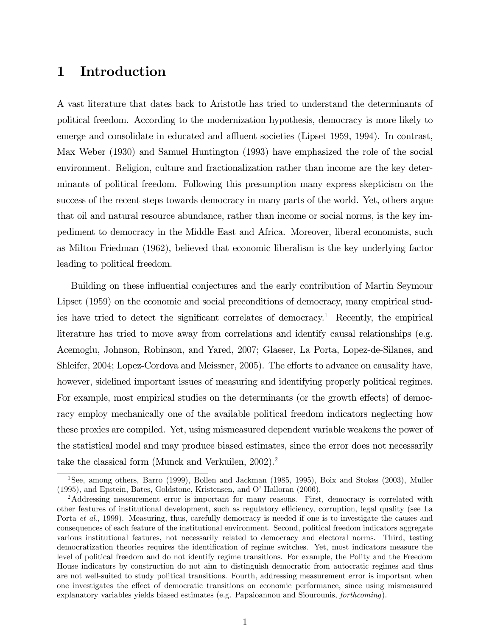## 1 Introduction

A vast literature that dates back to Aristotle has tried to understand the determinants of political freedom. According to the modernization hypothesis, democracy is more likely to emerge and consolidate in educated and affluent societies (Lipset 1959, 1994). In contrast, Max Weber (1930) and Samuel Huntington (1993) have emphasized the role of the social environment. Religion, culture and fractionalization rather than income are the key determinants of political freedom. Following this presumption many express skepticism on the success of the recent steps towards democracy in many parts of the world. Yet, others argue that oil and natural resource abundance, rather than income or social norms, is the key impediment to democracy in the Middle East and Africa. Moreover, liberal economists, such as Milton Friedman (1962), believed that economic liberalism is the key underlying factor leading to political freedom.

Building on these influential conjectures and the early contribution of Martin Seymour Lipset (1959) on the economic and social preconditions of democracy, many empirical studies have tried to detect the significant correlates of democracy.<sup>1</sup> Recently, the empirical literature has tried to move away from correlations and identify causal relationships (e.g. Acemoglu, Johnson, Robinson, and Yared, 2007; Glaeser, La Porta, Lopez-de-Silanes, and Shleifer, 2004; Lopez-Cordova and Meissner, 2005). The efforts to advance on causality have, however, sidelined important issues of measuring and identifying properly political regimes. For example, most empirical studies on the determinants (or the growth effects) of democracy employ mechanically one of the available political freedom indicators neglecting how these proxies are compiled. Yet, using mismeasured dependent variable weakens the power of the statistical model and may produce biased estimates, since the error does not necessarily take the classical form (Munck and Verkuilen, 2002).2

<sup>1</sup>See, among others, Barro (1999), Bollen and Jackman (1985, 1995), Boix and Stokes (2003), Muller (1995), and Epstein, Bates, Goldstone, Kristensen, and O' Halloran (2006).

<sup>&</sup>lt;sup>2</sup>Addressing measurement error is important for many reasons. First, democracy is correlated with other features of institutional development, such as regulatory efficiency, corruption, legal quality (see La Porta et al., 1999). Measuring, thus, carefully democracy is needed if one is to investigate the causes and consequences of each feature of the institutional environment. Second, political freedom indicators aggregate various institutional features, not necessarily related to democracy and electoral norms. Third, testing democratization theories requires the identification of regime switches. Yet, most indicators measure the level of political freedom and do not identify regime transitions. For example, the Polity and the Freedom House indicators by construction do not aim to distinguish democratic from autocratic regimes and thus are not well-suited to study political transitions. Fourth, addressing measurement error is important when one investigates the effect of democratic transitions on economic performance, since using mismeasured explanatory variables yields biased estimates (e.g. Papaioannou and Siourounis, forthcoming).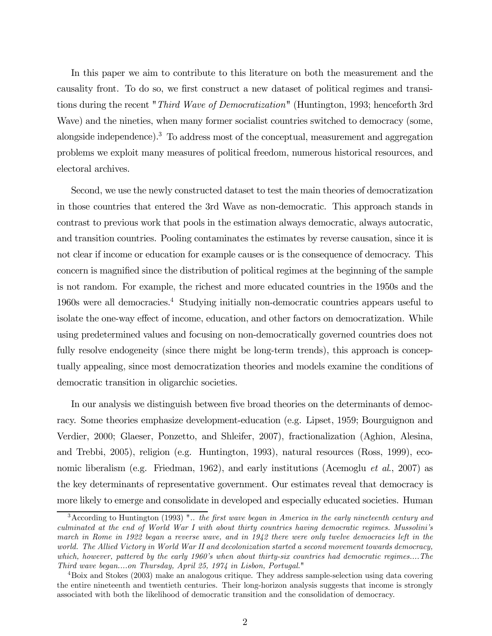In this paper we aim to contribute to this literature on both the measurement and the causality front. To do so, we first construct a new dataset of political regimes and transitions during the recent "*Third Wave of Democratization*" (Huntington, 1993; henceforth 3rd Wave) and the nineties, when many former socialist countries switched to democracy (some, alongside independence).<sup>3</sup> To address most of the conceptual, measurement and aggregation problems we exploit many measures of political freedom, numerous historical resources, and electoral archives.

Second, we use the newly constructed dataset to test the main theories of democratization in those countries that entered the 3rd Wave as non-democratic. This approach stands in contrast to previous work that pools in the estimation always democratic, always autocratic, and transition countries. Pooling contaminates the estimates by reverse causation, since it is not clear if income or education for example causes or is the consequence of democracy. This concern is magnified since the distribution of political regimes at the beginning of the sample is not random. For example, the richest and more educated countries in the 1950s and the 1960s were all democracies.4 Studying initially non-democratic countries appears useful to isolate the one-way effect of income, education, and other factors on democratization. While using predetermined values and focusing on non-democratically governed countries does not fully resolve endogeneity (since there might be long-term trends), this approach is conceptually appealing, since most democratization theories and models examine the conditions of democratic transition in oligarchic societies.

In our analysis we distinguish between five broad theories on the determinants of democracy. Some theories emphasize development-education (e.g. Lipset, 1959; Bourguignon and Verdier, 2000; Glaeser, Ponzetto, and Shleifer, 2007), fractionalization (Aghion, Alesina, and Trebbi, 2005), religion (e.g. Huntington, 1993), natural resources (Ross, 1999), economic liberalism (e.g. Friedman, 1962), and early institutions (Acemoglu *et al.*, 2007) as the key determinants of representative government. Our estimates reveal that democracy is more likely to emerge and consolidate in developed and especially educated societies. Human

 $3$ According to Huntington (1993) "... the first wave began in America in the early nineteenth century and culminated at the end of World War I with about thirty countries having democratic regimes. Mussolini's march in Rome in 1922 began a reverse wave, and in 1942 there were only twelve democracies left in the world. The Allied Victory in World War II and decolonization started a second movement towards democracy, which, however, pattered by the early 1960's when about thirty-six countries had democratic regimes....The Third wave began....on Thursday, April 25, 1974 in Lisbon, Portugal."

<sup>4</sup>Boix and Stokes (2003) make an analogous critique. They address sample-selection using data covering the entire nineteenth and twentieth centuries. Their long-horizon analysis suggests that income is strongly associated with both the likelihood of democratic transition and the consolidation of democracy.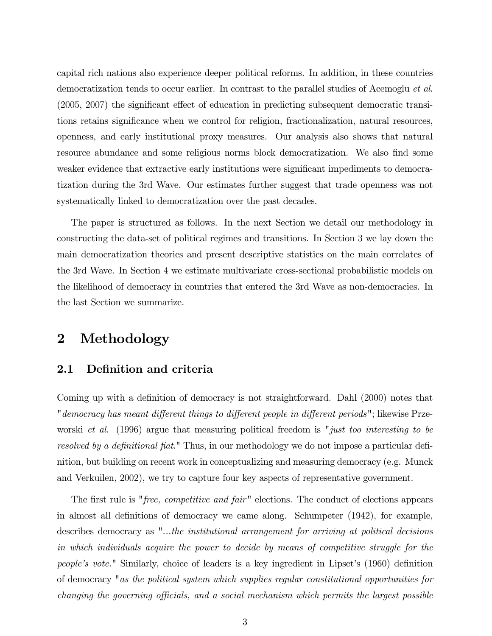capital rich nations also experience deeper political reforms. In addition, in these countries democratization tends to occur earlier. In contrast to the parallel studies of Acemoglu et al. (2005, 2007) the significant effect of education in predicting subsequent democratic transitions retains significance when we control for religion, fractionalization, natural resources, openness, and early institutional proxy measures. Our analysis also shows that natural resource abundance and some religious norms block democratization. We also find some weaker evidence that extractive early institutions were significant impediments to democratization during the 3rd Wave. Our estimates further suggest that trade openness was not systematically linked to democratization over the past decades.

The paper is structured as follows. In the next Section we detail our methodology in constructing the data-set of political regimes and transitions. In Section 3 we lay down the main democratization theories and present descriptive statistics on the main correlates of the 3rd Wave. In Section 4 we estimate multivariate cross-sectional probabilistic models on the likelihood of democracy in countries that entered the 3rd Wave as non-democracies. In the last Section we summarize.

## 2 Methodology

## 2.1 Definition and criteria

Coming up with a definition of democracy is not straightforward. Dahl (2000) notes that "democracy has meant different things to different people in different periods"; likewise Przeworski et al. (1996) argue that measuring political freedom is "*just too interesting to be* resolved by a definitional fiat." Thus, in our methodology we do not impose a particular definition, but building on recent work in conceptualizing and measuring democracy (e.g. Munck and Verkuilen, 2002), we try to capture four key aspects of representative government.

The first rule is "*free, competitive and fair*" elections. The conduct of elections appears in almost all definitions of democracy we came along. Schumpeter (1942), for example, describes democracy as "...the institutional arrangement for arriving at political decisions in which individuals acquire the power to decide by means of competitive struggle for the people's vote." Similarly, choice of leaders is a key ingredient in Lipset's (1960) definition of democracy "as the political system which supplies regular constitutional opportunities for changing the governing officials, and a social mechanism which permits the largest possible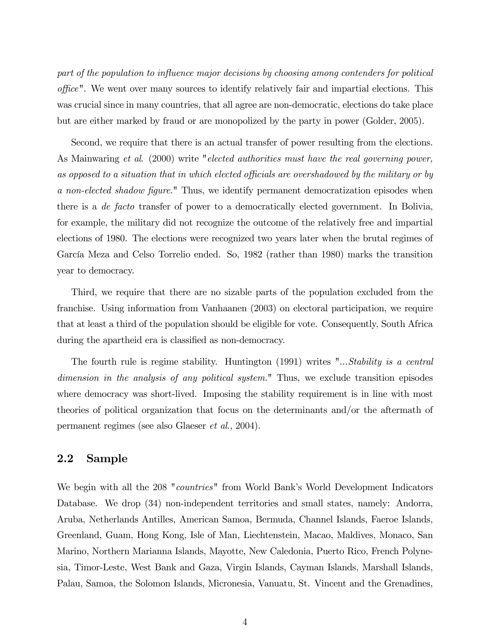part of the population to influence major decisions by choosing among contenders for political office". We went over many sources to identify relatively fair and impartial elections. This was crucial since in many countries, that all agree are non-democratic, elections do take place but are either marked by fraud or are monopolized by the party in power (Golder, 2005).

Second, we require that there is an actual transfer of power resulting from the elections. As Mainwaring et al. (2000) write "elected authorities must have the real governing power, as opposed to a situation that in which elected officials are overshadowed by the military or by a non-elected shadow figure." Thus, we identify permanent democratization episodes when there is a de facto transfer of power to a democratically elected government. In Bolivia, for example, the military did not recognize the outcome of the relatively free and impartial elections of 1980. The elections were recognized two years later when the brutal regimes of García Meza and Celso Torrelio ended. So, 1982 (rather than 1980) marks the transition year to democracy.

Third, we require that there are no sizable parts of the population excluded from the franchise. Using information from Vanhaanen (2003) on electoral participation, we require that at least a third of the population should be eligible for vote. Consequently, South Africa during the apartheid era is classified as non-democracy.

The fourth rule is regime stability. Huntington (1991) writes "...Stability is a central dimension in the analysis of any political system." Thus, we exclude transition episodes where democracy was short-lived. Imposing the stability requirement is in line with most theories of political organization that focus on the determinants and/or the aftermath of permanent regimes (see also Glaeser et al., 2004).

### 2.2 Sample

We begin with all the 208 "*countries*" from World Bank's World Development Indicators Database. We drop (34) non-independent territories and small states, namely: Andorra, Aruba, Netherlands Antilles, American Samoa, Bermuda, Channel Islands, Faeroe Islands, Greenland, Guam, Hong Kong, Isle of Man, Liechtenstein, Macao, Maldives, Monaco, San Marino, Northern Marianna Islands, Mayotte, New Caledonia, Puerto Rico, French Polynesia, Timor-Leste, West Bank and Gaza, Virgin Islands, Cayman Islands, Marshall Islands, Palau, Samoa, the Solomon Islands, Micronesia, Vanuatu, St. Vincent and the Grenadines,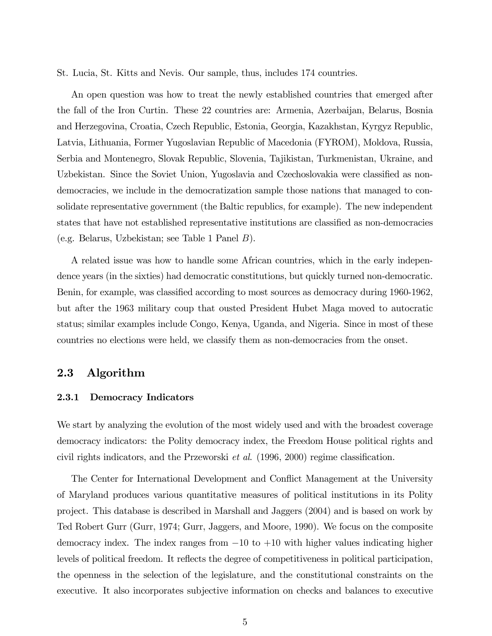St. Lucia, St. Kitts and Nevis. Our sample, thus, includes 174 countries.

An open question was how to treat the newly established countries that emerged after the fall of the Iron Curtin. These 22 countries are: Armenia, Azerbaijan, Belarus, Bosnia and Herzegovina, Croatia, Czech Republic, Estonia, Georgia, Kazakhstan, Kyrgyz Republic, Latvia, Lithuania, Former Yugoslavian Republic of Macedonia (FYROM), Moldova, Russia, Serbia and Montenegro, Slovak Republic, Slovenia, Tajikistan, Turkmenistan, Ukraine, and Uzbekistan. Since the Soviet Union, Yugoslavia and Czechoslovakia were classified as nondemocracies, we include in the democratization sample those nations that managed to consolidate representative government (the Baltic republics, for example). The new independent states that have not established representative institutions are classified as non-democracies (e.g. Belarus, Uzbekistan; see Table 1 Panel B).

A related issue was how to handle some African countries, which in the early independence years (in the sixties) had democratic constitutions, but quickly turned non-democratic. Benin, for example, was classified according to most sources as democracy during 1960-1962, but after the 1963 military coup that ousted President Hubet Maga moved to autocratic status; similar examples include Congo, Kenya, Uganda, and Nigeria. Since in most of these countries no elections were held, we classify them as non-democracies from the onset.

### 2.3 Algorithm

#### 2.3.1 Democracy Indicators

We start by analyzing the evolution of the most widely used and with the broadest coverage democracy indicators: the Polity democracy index, the Freedom House political rights and civil rights indicators, and the Przeworski et al. (1996, 2000) regime classification.

The Center for International Development and Conflict Management at the University of Maryland produces various quantitative measures of political institutions in its Polity project. This database is described in Marshall and Jaggers (2004) and is based on work by Ted Robert Gurr (Gurr, 1974; Gurr, Jaggers, and Moore, 1990). We focus on the composite democracy index. The index ranges from  $-10$  to  $+10$  with higher values indicating higher levels of political freedom. It reflects the degree of competitiveness in political participation, the openness in the selection of the legislature, and the constitutional constraints on the executive. It also incorporates subjective information on checks and balances to executive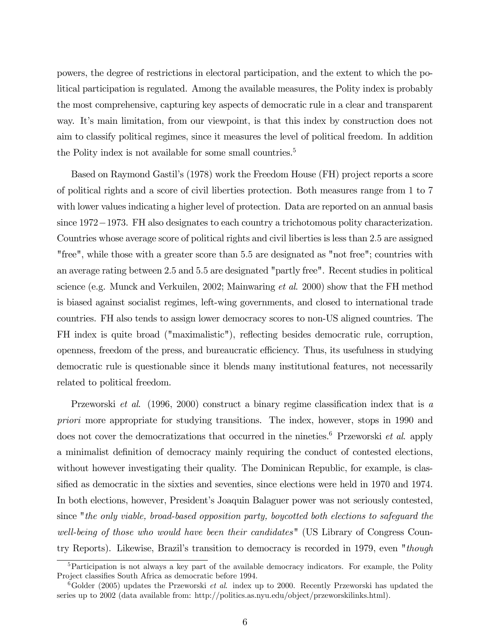powers, the degree of restrictions in electoral participation, and the extent to which the political participation is regulated. Among the available measures, the Polity index is probably the most comprehensive, capturing key aspects of democratic rule in a clear and transparent way. It's main limitation, from our viewpoint, is that this index by construction does not aim to classify political regimes, since it measures the level of political freedom. In addition the Polity index is not available for some small countries.<sup>5</sup>

Based on Raymond Gastil's (1978) work the Freedom House (FH) project reports a score of political rights and a score of civil liberties protection. Both measures range from 1 to 7 with lower values indicating a higher level of protection. Data are reported on an annual basis since 1972−1973. FH also designates to each country a trichotomous polity characterization. Countries whose average score of political rights and civil liberties is less than 2.5 are assigned "free", while those with a greater score than 5.5 are designated as "not free"; countries with an average rating between 2.5 and 5.5 are designated "partly free". Recent studies in political science (e.g. Munck and Verkuilen, 2002; Mainwaring *et al.* 2000) show that the FH method is biased against socialist regimes, left-wing governments, and closed to international trade countries. FH also tends to assign lower democracy scores to non-US aligned countries. The FH index is quite broad ("maximalistic"), reflecting besides democratic rule, corruption, openness, freedom of the press, and bureaucratic efficiency. Thus, its usefulness in studying democratic rule is questionable since it blends many institutional features, not necessarily related to political freedom.

Przeworski et al. (1996, 2000) construct a binary regime classification index that is a priori more appropriate for studying transitions. The index, however, stops in 1990 and does not cover the democratizations that occurred in the nineties.<sup>6</sup> Przeworski *et al.* apply a minimalist definition of democracy mainly requiring the conduct of contested elections, without however investigating their quality. The Dominican Republic, for example, is classified as democratic in the sixties and seventies, since elections were held in 1970 and 1974. In both elections, however, President's Joaquin Balaguer power was not seriously contested, since "the only viable, broad-based opposition party, boycotted both elections to safeguard the well-being of those who would have been their candidates" (US Library of Congress Country Reports). Likewise, Brazil's transition to democracy is recorded in 1979, even "though

 ${}^{5}$ Participation is not always a key part of the available democracy indicators. For example, the Polity Project classifies South Africa as democratic before 1994.

 $6Golder$  (2005) updates the Przeworski *et al.* index up to 2000. Recently Przeworski has updated the series up to 2002 (data available from: http://politics.as.nyu.edu/object/przeworskilinks.html).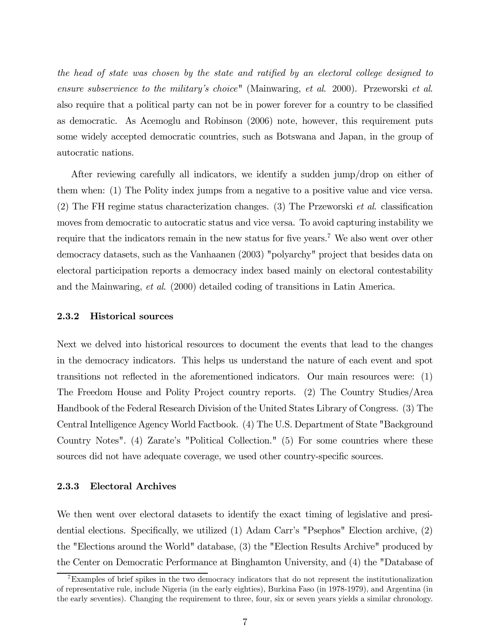the head of state was chosen by the state and ratified by an electoral college designed to ensure subservience to the military's choice" (Mainwaring, et al. 2000). Przeworski et al. also require that a political party can not be in power forever for a country to be classified as democratic. As Acemoglu and Robinson (2006) note, however, this requirement puts some widely accepted democratic countries, such as Botswana and Japan, in the group of autocratic nations.

After reviewing carefully all indicators, we identify a sudden jump/drop on either of them when: (1) The Polity index jumps from a negative to a positive value and vice versa. (2) The FH regime status characterization changes. (3) The Przeworski et al. classification moves from democratic to autocratic status and vice versa. To avoid capturing instability we require that the indicators remain in the new status for five years.<sup>7</sup> We also went over other democracy datasets, such as the Vanhaanen (2003) "polyarchy" project that besides data on electoral participation reports a democracy index based mainly on electoral contestability and the Mainwaring, et al. (2000) detailed coding of transitions in Latin America.

#### 2.3.2 Historical sources

Next we delved into historical resources to document the events that lead to the changes in the democracy indicators. This helps us understand the nature of each event and spot transitions not reflected in the aforementioned indicators. Our main resources were: (1) The Freedom House and Polity Project country reports. (2) The Country Studies/Area Handbook of the Federal Research Division of the United States Library of Congress. (3) The Central Intelligence Agency World Factbook. (4) The U.S. Department of State "Background Country Notes". (4) Zarate's "Political Collection." (5) For some countries where these sources did not have adequate coverage, we used other country-specific sources.

#### 2.3.3 Electoral Archives

We then went over electoral datasets to identify the exact timing of legislative and presidential elections. Specifically, we utilized (1) Adam Carr's "Psephos" Election archive, (2) the "Elections around the World" database, (3) the "Election Results Archive" produced by the Center on Democratic Performance at Binghamton University, and (4) the "Database of

<sup>7</sup>Examples of brief spikes in the two democracy indicators that do not represent the institutionalization of representative rule, include Nigeria (in the early eighties), Burkina Faso (in 1978-1979), and Argentina (in the early seventies). Changing the requirement to three, four, six or seven years yields a similar chronology.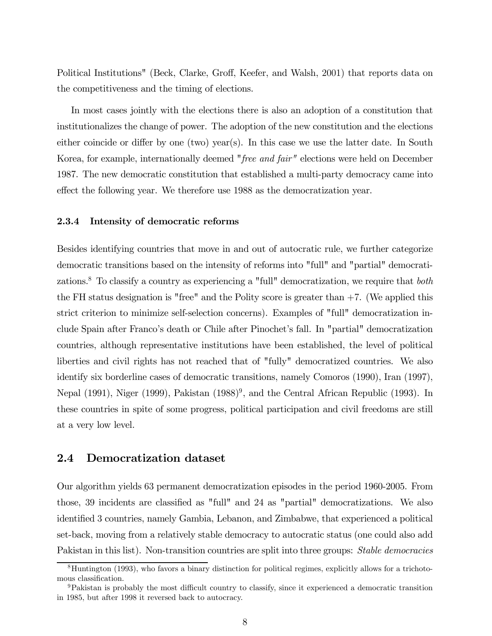Political Institutions" (Beck, Clarke, Groff, Keefer, and Walsh, 2001) that reports data on the competitiveness and the timing of elections.

In most cases jointly with the elections there is also an adoption of a constitution that institutionalizes the change of power. The adoption of the new constitution and the elections either coincide or differ by one (two) year(s). In this case we use the latter date. In South Korea, for example, internationally deemed "free and fair" elections were held on December 1987. The new democratic constitution that established a multi-party democracy came into effect the following year. We therefore use 1988 as the democratization year.

### 2.3.4 Intensity of democratic reforms

Besides identifying countries that move in and out of autocratic rule, we further categorize democratic transitions based on the intensity of reforms into "full" and "partial" democratizations.<sup>8</sup> To classify a country as experiencing a "full" democratization, we require that *both* the FH status designation is "free" and the Polity score is greater than  $+7$ . (We applied this strict criterion to minimize self-selection concerns). Examples of "full" democratization include Spain after Franco's death or Chile after Pinochet's fall. In "partial" democratization countries, although representative institutions have been established, the level of political liberties and civil rights has not reached that of "fully" democratized countries. We also identify six borderline cases of democratic transitions, namely Comoros (1990), Iran (1997), Nepal (1991), Niger (1999), Pakistan (1988)<sup>9</sup>, and the Central African Republic (1993). In these countries in spite of some progress, political participation and civil freedoms are still at a very low level.

### 2.4 Democratization dataset

Our algorithm yields 63 permanent democratization episodes in the period 1960-2005. From those, 39 incidents are classified as "full" and 24 as "partial" democratizations. We also identified 3 countries, namely Gambia, Lebanon, and Zimbabwe, that experienced a political set-back, moving from a relatively stable democracy to autocratic status (one could also add Pakistan in this list). Non-transition countries are split into three groups: *Stable democracies* 

<sup>8</sup>Huntington (1993), who favors a binary distinction for political regimes, explicitly allows for a trichotomous classification.

<sup>9</sup>Pakistan is probably the most difficult country to classify, since it experienced a democratic transition in 1985, but after 1998 it reversed back to autocracy.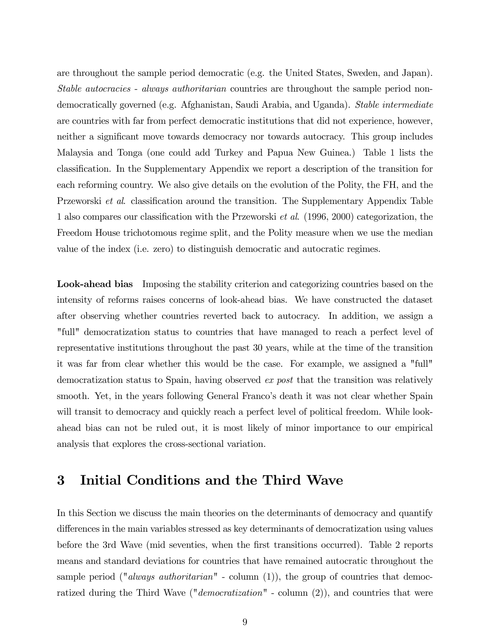are throughout the sample period democratic (e.g. the United States, Sweden, and Japan). Stable autocracies - always authoritarian countries are throughout the sample period nondemocratically governed (e.g. Afghanistan, Saudi Arabia, and Uganda). Stable intermediate are countries with far from perfect democratic institutions that did not experience, however, neither a significant move towards democracy nor towards autocracy. This group includes Malaysia and Tonga (one could add Turkey and Papua New Guinea.) Table 1 lists the classification. In the Supplementary Appendix we report a description of the transition for each reforming country. We also give details on the evolution of the Polity, the FH, and the Przeworski *et al.* classification around the transition. The Supplementary Appendix Table 1 also compares our classification with the Przeworski et al. (1996, 2000) categorization, the Freedom House trichotomous regime split, and the Polity measure when we use the median value of the index (i.e. zero) to distinguish democratic and autocratic regimes.

Look-ahead bias Imposing the stability criterion and categorizing countries based on the intensity of reforms raises concerns of look-ahead bias. We have constructed the dataset after observing whether countries reverted back to autocracy. In addition, we assign a "full" democratization status to countries that have managed to reach a perfect level of representative institutions throughout the past 30 years, while at the time of the transition it was far from clear whether this would be the case. For example, we assigned a "full" democratization status to Spain, having observed ex post that the transition was relatively smooth. Yet, in the years following General Franco's death it was not clear whether Spain will transit to democracy and quickly reach a perfect level of political freedom. While lookahead bias can not be ruled out, it is most likely of minor importance to our empirical analysis that explores the cross-sectional variation.

# 3 Initial Conditions and the Third Wave

In this Section we discuss the main theories on the determinants of democracy and quantify differences in the main variables stressed as key determinants of democratization using values before the 3rd Wave (mid seventies, when the first transitions occurred). Table 2 reports means and standard deviations for countries that have remained autocratic throughout the sample period ("*always authoritarian*" - column (1)), the group of countries that democratized during the Third Wave ("*democratization*" - column  $(2)$ ), and countries that were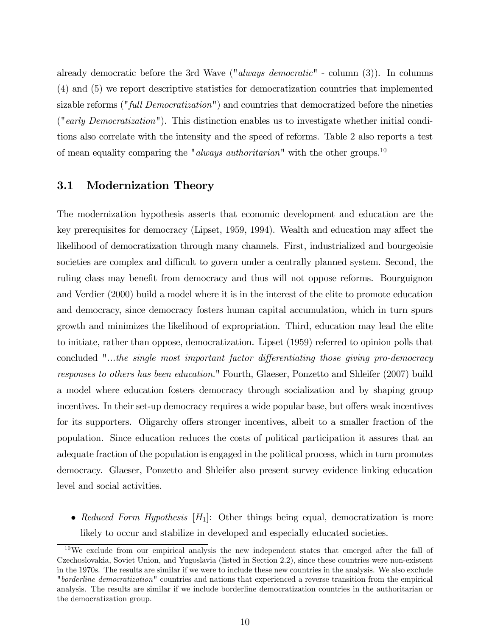already democratic before the 3rd Wave ("*always democratic*" - column (3)). In columns (4) and (5) we report descriptive statistics for democratization countries that implemented sizable reforms ("full Democratization") and countries that democratized before the nineties ("early Democratization"). This distinction enables us to investigate whether initial conditions also correlate with the intensity and the speed of reforms. Table 2 also reports a test of mean equality comparing the "*always authoritarian*" with the other groups.<sup>10</sup>

## 3.1 Modernization Theory

The modernization hypothesis asserts that economic development and education are the key prerequisites for democracy (Lipset, 1959, 1994). Wealth and education may affect the likelihood of democratization through many channels. First, industrialized and bourgeoisie societies are complex and difficult to govern under a centrally planned system. Second, the ruling class may benefit from democracy and thus will not oppose reforms. Bourguignon and Verdier (2000) build a model where it is in the interest of the elite to promote education and democracy, since democracy fosters human capital accumulation, which in turn spurs growth and minimizes the likelihood of expropriation. Third, education may lead the elite to initiate, rather than oppose, democratization. Lipset (1959) referred to opinion polls that concluded "...the single most important factor differentiating those giving pro-democracy responses to others has been education." Fourth, Glaeser, Ponzetto and Shleifer (2007) build a model where education fosters democracy through socialization and by shaping group incentives. In their set-up democracy requires a wide popular base, but offers weak incentives for its supporters. Oligarchy offers stronger incentives, albeit to a smaller fraction of the population. Since education reduces the costs of political participation it assures that an adequate fraction of the population is engaged in the political process, which in turn promotes democracy. Glaeser, Ponzetto and Shleifer also present survey evidence linking education level and social activities.

• Reduced Form Hypothesis  $[H_1]$ : Other things being equal, democratization is more likely to occur and stabilize in developed and especially educated societies.

<sup>10</sup>We exclude from our empirical analysis the new independent states that emerged after the fall of Czechoslovakia, Soviet Union, and Yugoslavia (listed in Section 2.2), since these countries were non-existent in the 1970s. The results are similar if we were to include these new countries in the analysis. We also exclude "borderline democratization" countries and nations that experienced a reverse transition from the empirical analysis. The results are similar if we include borderline democratization countries in the authoritarian or the democratization group.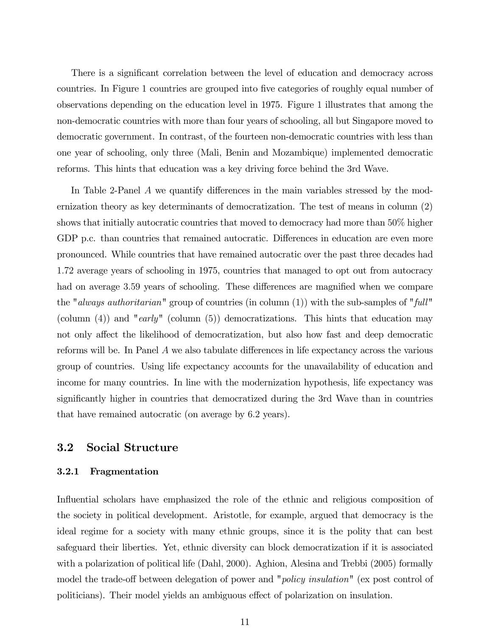There is a significant correlation between the level of education and democracy across countries. In Figure 1 countries are grouped into five categories of roughly equal number of observations depending on the education level in 1975. Figure 1 illustrates that among the non-democratic countries with more than four years of schooling, all but Singapore moved to democratic government. In contrast, of the fourteen non-democratic countries with less than one year of schooling, only three (Mali, Benin and Mozambique) implemented democratic reforms. This hints that education was a key driving force behind the 3rd Wave.

In Table 2-Panel A we quantify differences in the main variables stressed by the modernization theory as key determinants of democratization. The test of means in column (2) shows that initially autocratic countries that moved to democracy had more than 50% higher GDP p.c. than countries that remained autocratic. Differences in education are even more pronounced. While countries that have remained autocratic over the past three decades had 1.72 average years of schooling in 1975, countries that managed to opt out from autocracy had on average 3.59 years of schooling. These differences are magnified when we compare the "*always authoritarian*" group of countries (in column  $(1)$ ) with the sub-samples of "*full*" (column  $(4)$ ) and "early" (column  $(5)$ ) democratizations. This hints that education may not only affect the likelihood of democratization, but also how fast and deep democratic reforms will be. In Panel A we also tabulate differences in life expectancy across the various group of countries. Using life expectancy accounts for the unavailability of education and income for many countries. In line with the modernization hypothesis, life expectancy was significantly higher in countries that democratized during the 3rd Wave than in countries that have remained autocratic (on average by 6.2 years).

## 3.2 Social Structure

#### 3.2.1 Fragmentation

Influential scholars have emphasized the role of the ethnic and religious composition of the society in political development. Aristotle, for example, argued that democracy is the ideal regime for a society with many ethnic groups, since it is the polity that can best safeguard their liberties. Yet, ethnic diversity can block democratization if it is associated with a polarization of political life (Dahl, 2000). Aghion, Alesina and Trebbi (2005) formally model the trade-off between delegation of power and "*policy insulation*" (ex post control of politicians). Their model yields an ambiguous effect of polarization on insulation.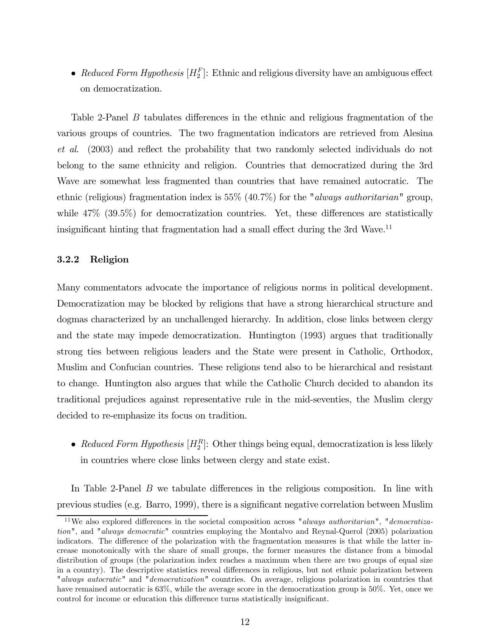• Reduced Form Hypothesis  $[H_2^F]$ : Ethnic and religious diversity have an ambiguous effect on democratization.

Table 2-Panel B tabulates differences in the ethnic and religious fragmentation of the various groups of countries. The two fragmentation indicators are retrieved from Alesina et al. (2003) and reflect the probability that two randomly selected individuals do not belong to the same ethnicity and religion. Countries that democratized during the 3rd Wave are somewhat less fragmented than countries that have remained autocratic. The ethnic (religious) fragmentation index is 55% (40.7%) for the "*always authoritarian*" group, while 47\% (39.5\%) for democratization countries. Yet, these differences are statistically insignificant hinting that fragmentation had a small effect during the 3rd Wave.<sup>11</sup>

#### 3.2.2 Religion

Many commentators advocate the importance of religious norms in political development. Democratization may be blocked by religions that have a strong hierarchical structure and dogmas characterized by an unchallenged hierarchy. In addition, close links between clergy and the state may impede democratization. Huntington (1993) argues that traditionally strong ties between religious leaders and the State were present in Catholic, Orthodox, Muslim and Confucian countries. These religions tend also to be hierarchical and resistant to change. Huntington also argues that while the Catholic Church decided to abandon its traditional prejudices against representative rule in the mid-seventies, the Muslim clergy decided to re-emphasize its focus on tradition.

• Reduced Form Hypothesis  $[H_2^R]$ : Other things being equal, democratization is less likely in countries where close links between clergy and state exist.

In Table 2-Panel B we tabulate differences in the religious composition. In line with previous studies (e.g. Barro, 1999), there is a significant negative correlation between Muslim

<sup>&</sup>lt;sup>11</sup>We also explored differences in the societal composition across "*always authoritarian*", "*democratiza*tion", and "always democratic" countries employing the Montalvo and Reynal-Querol (2005) polarization indicators. The difference of the polarization with the fragmentation measures is that while the latter increase monotonically with the share of small groups, the former measures the distance from a bimodal distribution of groups (the polarization index reaches a maximum when there are two groups of equal size in a country). The descriptive statistics reveal differences in religious, but not ethnic polarization between "*always autocratic*" and "*democratization*" countries. On average, religious polarization in countries that have remained autocratic is 63%, while the average score in the democratization group is 50%. Yet, once we control for income or education this difference turns statistically insignificant.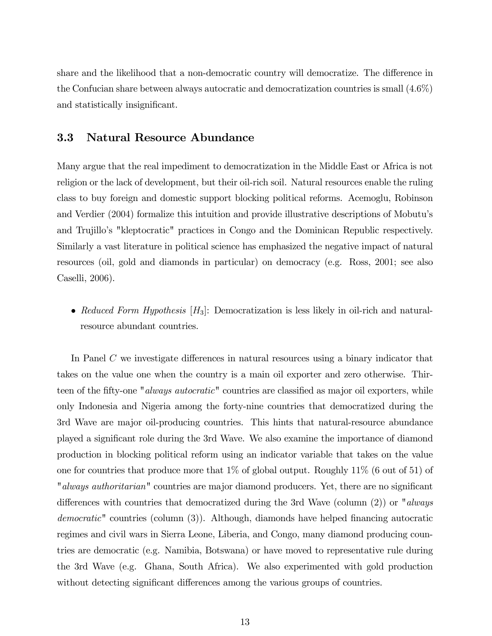share and the likelihood that a non-democratic country will democratize. The difference in the Confucian share between always autocratic and democratization countries is small (4.6%) and statistically insignificant.

### 3.3 Natural Resource Abundance

Many argue that the real impediment to democratization in the Middle East or Africa is not religion or the lack of development, but their oil-rich soil. Natural resources enable the ruling class to buy foreign and domestic support blocking political reforms. Acemoglu, Robinson and Verdier (2004) formalize this intuition and provide illustrative descriptions of Mobutu's and Trujillo's "kleptocratic" practices in Congo and the Dominican Republic respectively. Similarly a vast literature in political science has emphasized the negative impact of natural resources (oil, gold and diamonds in particular) on democracy (e.g. Ross, 2001; see also Caselli, 2006).

• Reduced Form Hypothesis  $[H_3]$ : Democratization is less likely in oil-rich and naturalresource abundant countries.

In Panel C we investigate differences in natural resources using a binary indicator that takes on the value one when the country is a main oil exporter and zero otherwise. Thirteen of the fifty-one "*always autocratic*" countries are classified as major oil exporters, while only Indonesia and Nigeria among the forty-nine countries that democratized during the 3rd Wave are major oil-producing countries. This hints that natural-resource abundance played a significant role during the 3rd Wave. We also examine the importance of diamond production in blocking political reform using an indicator variable that takes on the value one for countries that produce more that 1% of global output. Roughly 11% (6 out of 51) of "always authoritarian" countries are major diamond producers. Yet, there are no significant differences with countries that democratized during the 3rd Wave (column  $(2)$ ) or "always democratic" countries (column (3)). Although, diamonds have helped financing autocratic regimes and civil wars in Sierra Leone, Liberia, and Congo, many diamond producing countries are democratic (e.g. Namibia, Botswana) or have moved to representative rule during the 3rd Wave (e.g. Ghana, South Africa). We also experimented with gold production without detecting significant differences among the various groups of countries.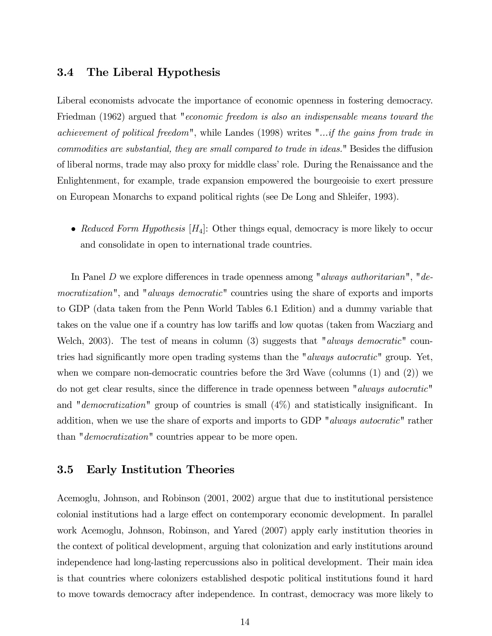## 3.4 The Liberal Hypothesis

Liberal economists advocate the importance of economic openness in fostering democracy. Friedman (1962) argued that "*economic freedom is also an indispensable means toward the* achievement of political freedom", while Landes (1998) writes "...if the gains from trade in commodities are substantial, they are small compared to trade in ideas." Besides the diffusion of liberal norms, trade may also proxy for middle class' role. During the Renaissance and the Enlightenment, for example, trade expansion empowered the bourgeoisie to exert pressure on European Monarchs to expand political rights (see De Long and Shleifer, 1993).

• Reduced Form Hypothesis  $[H_4]$ : Other things equal, democracy is more likely to occur and consolidate in open to international trade countries.

In Panel D we explore differences in trade openness among "always authoritarian", "democratization", and "always democratic" countries using the share of exports and imports to GDP (data taken from the Penn World Tables 6.1 Edition) and a dummy variable that takes on the value one if a country has low tariffs and low quotas (taken from Wacziarg and Welch, 2003). The test of means in column (3) suggests that "*always democratic*" countries had significantly more open trading systems than the "*always autocratic*" group. Yet, when we compare non-democratic countries before the 3rd Wave (columns  $(1)$  and  $(2)$ ) we do not get clear results, since the difference in trade openness between "always autocratic" and "*democratization*" group of countries is small  $(4%)$  and statistically insignificant. In addition, when we use the share of exports and imports to GDP "always autocratic" rather than "*democratization*" countries appear to be more open.

## 3.5 Early Institution Theories

Acemoglu, Johnson, and Robinson (2001, 2002) argue that due to institutional persistence colonial institutions had a large effect on contemporary economic development. In parallel work Acemoglu, Johnson, Robinson, and Yared (2007) apply early institution theories in the context of political development, arguing that colonization and early institutions around independence had long-lasting repercussions also in political development. Their main idea is that countries where colonizers established despotic political institutions found it hard to move towards democracy after independence. In contrast, democracy was more likely to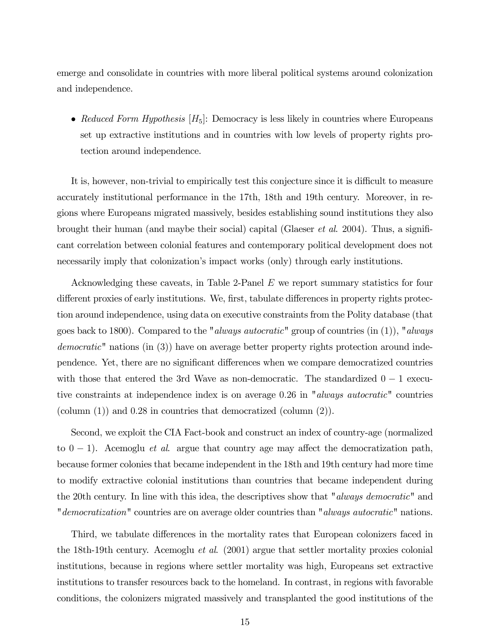emerge and consolidate in countries with more liberal political systems around colonization and independence.

• Reduced Form Hypothesis  $[H_5]$ : Democracy is less likely in countries where Europeans set up extractive institutions and in countries with low levels of property rights protection around independence.

It is, however, non-trivial to empirically test this conjecture since it is difficult to measure accurately institutional performance in the 17th, 18th and 19th century. Moreover, in regions where Europeans migrated massively, besides establishing sound institutions they also brought their human (and maybe their social) capital (Glaeser et al. 2004). Thus, a significant correlation between colonial features and contemporary political development does not necessarily imply that colonization's impact works (only) through early institutions.

Acknowledging these caveats, in Table 2-Panel E we report summary statistics for four different proxies of early institutions. We, first, tabulate differences in property rights protection around independence, using data on executive constraints from the Polity database (that goes back to 1800). Compared to the "*always autocratic*" group of countries (in (1)), "*always* democratic" nations (in (3)) have on average better property rights protection around independence. Yet, there are no significant differences when we compare democratized countries with those that entered the 3rd Wave as non-democratic. The standardized  $0 - 1$  executive constraints at independence index is on average 0.26 in "always autocratic" countries (column (1)) and 0.28 in countries that democratized (column (2)).

Second, we exploit the CIA Fact-book and construct an index of country-age (normalized to  $0 - 1$ ). Acemoglu *et al.* argue that country age may affect the democratization path, because former colonies that became independent in the 18th and 19th century had more time to modify extractive colonial institutions than countries that became independent during the 20th century. In line with this idea, the descriptives show that "always democratic" and "democratization" countries are on average older countries than "always autocratic" nations.

Third, we tabulate differences in the mortality rates that European colonizers faced in the 18th-19th century. Acemoglu *et al.* (2001) argue that settler mortality proxies colonial institutions, because in regions where settler mortality was high, Europeans set extractive institutions to transfer resources back to the homeland. In contrast, in regions with favorable conditions, the colonizers migrated massively and transplanted the good institutions of the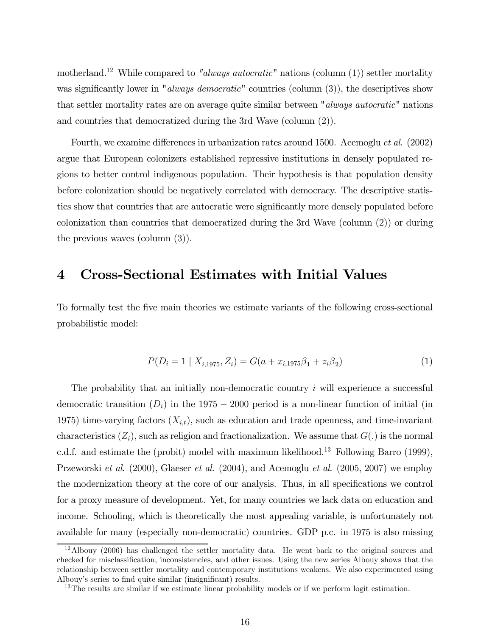motherland.<sup>12</sup> While compared to "always autocratic" nations (column (1)) settler mortality was significantly lower in "*always democratic*" countries (column (3)), the descriptives show that settler mortality rates are on average quite similar between "always autocratic" nations and countries that democratized during the 3rd Wave (column (2)).

Fourth, we examine differences in urbanization rates around 1500. Acemoglu et al. (2002) argue that European colonizers established repressive institutions in densely populated regions to better control indigenous population. Their hypothesis is that population density before colonization should be negatively correlated with democracy. The descriptive statistics show that countries that are autocratic were significantly more densely populated before colonization than countries that democratized during the 3rd Wave (column (2)) or during the previous waves (column (3)).

## 4 Cross-Sectional Estimates with Initial Values

To formally test the five main theories we estimate variants of the following cross-sectional probabilistic model:

$$
P(D_i = 1 | X_{i,1975}, Z_i) = G(a + x_{i,1975}\beta_1 + z_i\beta_2)
$$
\n(1)

The probability that an initially non-democratic country i will experience a successful democratic transition  $(D_i)$  in the 1975 – 2000 period is a non-linear function of initial (in 1975) time-varying factors  $(X_{i,t})$ , such as education and trade openness, and time-invariant characteristics  $(Z_i)$ , such as religion and fractionalization. We assume that  $G(.)$  is the normal c.d.f. and estimate the (probit) model with maximum likelihood.<sup>13</sup> Following Barro (1999), Przeworski *et al.* (2000), Glaeser *et al.* (2004), and Acemoglu *et al.* (2005, 2007) we employ the modernization theory at the core of our analysis. Thus, in all specifications we control for a proxy measure of development. Yet, for many countries we lack data on education and income. Schooling, which is theoretically the most appealing variable, is unfortunately not available for many (especially non-democratic) countries. GDP p.c. in 1975 is also missing

<sup>12</sup>Albouy (2006) has challenged the settler mortality data. He went back to the original sources and checked for misclassification, inconsistencies, and other issues. Using the new series Albouy shows that the relationship between settler mortality and contemporary institutions weakens. We also experimented using Albouy's series to find quite similar (insignificant) results.

<sup>&</sup>lt;sup>13</sup>The results are similar if we estimate linear probability models or if we perform logit estimation.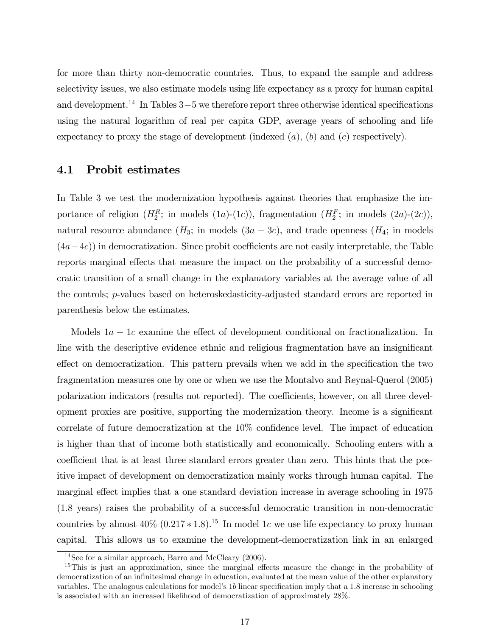for more than thirty non-democratic countries. Thus, to expand the sample and address selectivity issues, we also estimate models using life expectancy as a proxy for human capital and development.<sup>14</sup> In Tables 3–5 we therefore report three otherwise identical specifications using the natural logarithm of real per capita GDP, average years of schooling and life expectancy to proxy the stage of development (indexed  $(a)$ ,  $(b)$  and  $(c)$  respectively).

### 4.1 Probit estimates

In Table 3 we test the modernization hypothesis against theories that emphasize the importance of religion  $(H_2^R;$  in models  $(1a)-(1c)$ ), fragmentation  $(H_2^F;$  in models  $(2a)-(2c)$ ), natural resource abundance  $(H_3; \text{ in models } (3a - 3c)$ , and trade openness  $(H_4; \text{ in models } )$  $(4a-4c)$ ) in democratization. Since probit coefficients are not easily interpretable, the Table reports marginal effects that measure the impact on the probability of a successful democratic transition of a small change in the explanatory variables at the average value of all the controls; p-values based on heteroskedasticity-adjusted standard errors are reported in parenthesis below the estimates.

Models  $1a - 1c$  examine the effect of development conditional on fractionalization. In line with the descriptive evidence ethnic and religious fragmentation have an insignificant effect on democratization. This pattern prevails when we add in the specification the two fragmentation measures one by one or when we use the Montalvo and Reynal-Querol (2005) polarization indicators (results not reported). The coefficients, however, on all three development proxies are positive, supporting the modernization theory. Income is a significant correlate of future democratization at the 10% confidence level. The impact of education is higher than that of income both statistically and economically. Schooling enters with a coefficient that is at least three standard errors greater than zero. This hints that the positive impact of development on democratization mainly works through human capital. The marginal effect implies that a one standard deviation increase in average schooling in 1975 (1.8 years) raises the probability of a successful democratic transition in non-democratic countries by almost  $40\%$   $(0.217 * 1.8)^{15}$  In model 1c we use life expectancy to proxy human capital. This allows us to examine the development-democratization link in an enlarged

<sup>14</sup>See for a similar approach, Barro and McCleary (2006).

<sup>&</sup>lt;sup>15</sup>This is just an approximation, since the marginal effects measure the change in the probability of democratization of an infinitesimal change in education, evaluated at the mean value of the other explanatory variables. The analogous calculations for model's 1b linear specification imply that a 1.8 increase in schooling is associated with an increased likelihood of democratization of approximately 28%.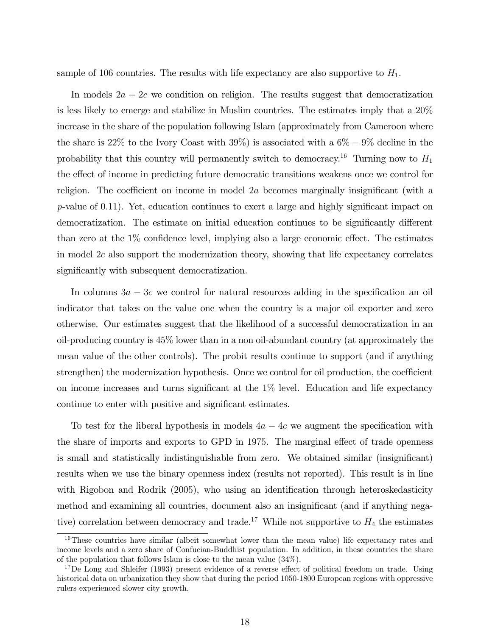sample of 106 countries. The results with life expectancy are also supportive to  $H_1$ .

In models  $2a - 2c$  we condition on religion. The results suggest that democratization is less likely to emerge and stabilize in Muslim countries. The estimates imply that a 20% increase in the share of the population following Islam (approximately from Cameroon where the share is 22% to the Ivory Coast with 39%) is associated with a  $6\% - 9\%$  decline in the probability that this country will permanently switch to democracy.<sup>16</sup> Turning now to  $H_1$ the effect of income in predicting future democratic transitions weakens once we control for religion. The coefficient on income in model 2a becomes marginally insignificant (with a p-value of 0.11). Yet, education continues to exert a large and highly significant impact on democratization. The estimate on initial education continues to be significantly different than zero at the 1% confidence level, implying also a large economic effect. The estimates in model 2c also support the modernization theory, showing that life expectancy correlates significantly with subsequent democratization.

In columns  $3a - 3c$  we control for natural resources adding in the specification an oil indicator that takes on the value one when the country is a major oil exporter and zero otherwise. Our estimates suggest that the likelihood of a successful democratization in an oil-producing country is 45% lower than in a non oil-abundant country (at approximately the mean value of the other controls). The probit results continue to support (and if anything strengthen) the modernization hypothesis. Once we control for oil production, the coefficient on income increases and turns significant at the 1% level. Education and life expectancy continue to enter with positive and significant estimates.

To test for the liberal hypothesis in models  $4a - 4c$  we augment the specification with the share of imports and exports to GPD in 1975. The marginal effect of trade openness is small and statistically indistinguishable from zero. We obtained similar (insignificant) results when we use the binary openness index (results not reported). This result is in line with Rigobon and Rodrik (2005), who using an identification through heteroskedasticity method and examining all countries, document also an insignificant (and if anything negative) correlation between democracy and trade.<sup>17</sup> While not supportive to  $H_4$  the estimates

 $16$ These countries have similar (albeit somewhat lower than the mean value) life expectancy rates and income levels and a zero share of Confucian-Buddhist population. In addition, in these countries the share of the population that follows Islam is close to the mean value (34%).

<sup>&</sup>lt;sup>17</sup>De Long and Shleifer (1993) present evidence of a reverse effect of political freedom on trade. Using historical data on urbanization they show that during the period 1050-1800 European regions with oppressive rulers experienced slower city growth.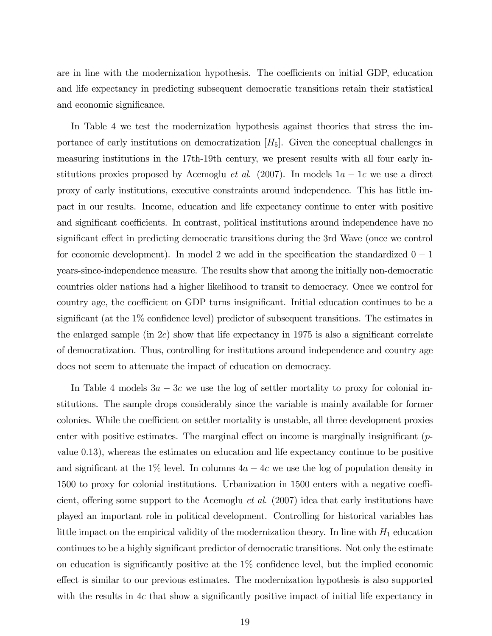are in line with the modernization hypothesis. The coefficients on initial GDP, education and life expectancy in predicting subsequent democratic transitions retain their statistical and economic significance.

In Table 4 we test the modernization hypothesis against theories that stress the importance of early institutions on democratization  $[H_5]$ . Given the conceptual challenges in measuring institutions in the 17th-19th century, we present results with all four early institutions proxies proposed by Acemoglu *et al.* (2007). In models  $1a - 1c$  we use a direct proxy of early institutions, executive constraints around independence. This has little impact in our results. Income, education and life expectancy continue to enter with positive and significant coefficients. In contrast, political institutions around independence have no significant effect in predicting democratic transitions during the 3rd Wave (once we control for economic development). In model 2 we add in the specification the standardized  $0 - 1$ years-since-independence measure. The results show that among the initially non-democratic countries older nations had a higher likelihood to transit to democracy. Once we control for country age, the coefficient on GDP turns insignificant. Initial education continues to be a significant (at the 1% confidence level) predictor of subsequent transitions. The estimates in the enlarged sample (in  $2c$ ) show that life expectancy in 1975 is also a significant correlate of democratization. Thus, controlling for institutions around independence and country age does not seem to attenuate the impact of education on democracy.

In Table 4 models  $3a - 3c$  we use the log of settler mortality to proxy for colonial institutions. The sample drops considerably since the variable is mainly available for former colonies. While the coefficient on settler mortality is unstable, all three development proxies enter with positive estimates. The marginal effect on income is marginally insignificant (pvalue 0.13), whereas the estimates on education and life expectancy continue to be positive and significant at the 1% level. In columns  $4a - 4c$  we use the log of population density in 1500 to proxy for colonial institutions. Urbanization in 1500 enters with a negative coefficient, offering some support to the Acemoglu *et al.* (2007) idea that early institutions have played an important role in political development. Controlling for historical variables has little impact on the empirical validity of the modernization theory. In line with  $H_1$  education continues to be a highly significant predictor of democratic transitions. Not only the estimate on education is significantly positive at the 1% confidence level, but the implied economic effect is similar to our previous estimates. The modernization hypothesis is also supported with the results in  $4c$  that show a significantly positive impact of initial life expectancy in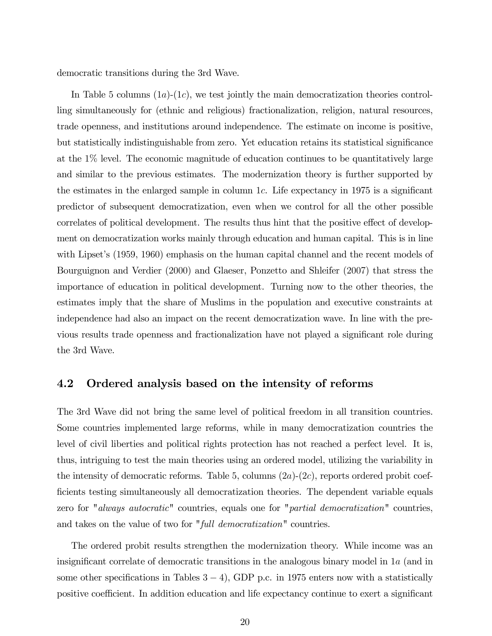democratic transitions during the 3rd Wave.

In Table 5 columns  $(1a)-(1c)$ , we test jointly the main democratization theories controlling simultaneously for (ethnic and religious) fractionalization, religion, natural resources, trade openness, and institutions around independence. The estimate on income is positive, but statistically indistinguishable from zero. Yet education retains its statistical significance at the 1% level. The economic magnitude of education continues to be quantitatively large and similar to the previous estimates. The modernization theory is further supported by the estimates in the enlarged sample in column 1c. Life expectancy in 1975 is a significant predictor of subsequent democratization, even when we control for all the other possible correlates of political development. The results thus hint that the positive effect of development on democratization works mainly through education and human capital. This is in line with Lipset's (1959, 1960) emphasis on the human capital channel and the recent models of Bourguignon and Verdier (2000) and Glaeser, Ponzetto and Shleifer (2007) that stress the importance of education in political development. Turning now to the other theories, the estimates imply that the share of Muslims in the population and executive constraints at independence had also an impact on the recent democratization wave. In line with the previous results trade openness and fractionalization have not played a significant role during the 3rd Wave.

### 4.2 Ordered analysis based on the intensity of reforms

The 3rd Wave did not bring the same level of political freedom in all transition countries. Some countries implemented large reforms, while in many democratization countries the level of civil liberties and political rights protection has not reached a perfect level. It is, thus, intriguing to test the main theories using an ordered model, utilizing the variability in the intensity of democratic reforms. Table 5, columns  $(2a)-(2c)$ , reports ordered probit coefficients testing simultaneously all democratization theories. The dependent variable equals zero for "always autocratic" countries, equals one for "partial democratization" countries, and takes on the value of two for "full democratization" countries.

The ordered probit results strengthen the modernization theory. While income was an insignificant correlate of democratic transitions in the analogous binary model in 1a (and in some other specifications in Tables  $3 - 4$ ), GDP p.c. in 1975 enters now with a statistically positive coefficient. In addition education and life expectancy continue to exert a significant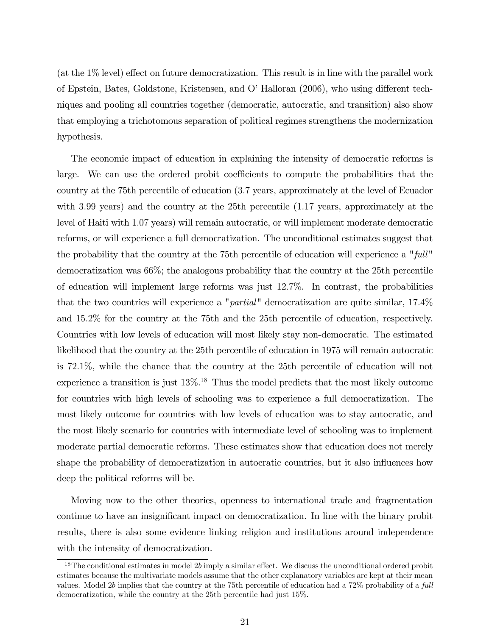(at the 1% level) effect on future democratization. This result is in line with the parallel work of Epstein, Bates, Goldstone, Kristensen, and O' Halloran (2006), who using different techniques and pooling all countries together (democratic, autocratic, and transition) also show that employing a trichotomous separation of political regimes strengthens the modernization hypothesis.

The economic impact of education in explaining the intensity of democratic reforms is large. We can use the ordered probit coefficients to compute the probabilities that the country at the 75th percentile of education (3.7 years, approximately at the level of Ecuador with 3.99 years) and the country at the 25th percentile (1.17 years, approximately at the level of Haiti with 1.07 years) will remain autocratic, or will implement moderate democratic reforms, or will experience a full democratization. The unconditional estimates suggest that the probability that the country at the 75th percentile of education will experience a "full" democratization was 66%; the analogous probability that the country at the 25th percentile of education will implement large reforms was just 12.7%. In contrast, the probabilities that the two countries will experience a "partial" democratization are quite similar, 17.4% and 15.2% for the country at the 75th and the 25th percentile of education, respectively. Countries with low levels of education will most likely stay non-democratic. The estimated likelihood that the country at the 25th percentile of education in 1975 will remain autocratic is 72.1%, while the chance that the country at the 25th percentile of education will not experience a transition is just  $13\%$ <sup>18</sup>. Thus the model predicts that the most likely outcome for countries with high levels of schooling was to experience a full democratization. The most likely outcome for countries with low levels of education was to stay autocratic, and the most likely scenario for countries with intermediate level of schooling was to implement moderate partial democratic reforms. These estimates show that education does not merely shape the probability of democratization in autocratic countries, but it also influences how deep the political reforms will be.

Moving now to the other theories, openness to international trade and fragmentation continue to have an insignificant impact on democratization. In line with the binary probit results, there is also some evidence linking religion and institutions around independence with the intensity of democratization.

<sup>&</sup>lt;sup>18</sup>The conditional estimates in model 2b imply a similar effect. We discuss the unconditional ordered probit estimates because the multivariate models assume that the other explanatory variables are kept at their mean values. Model 2b implies that the country at the 75th percentile of education had a 72% probability of a full democratization, while the country at the 25th percentile had just 15%.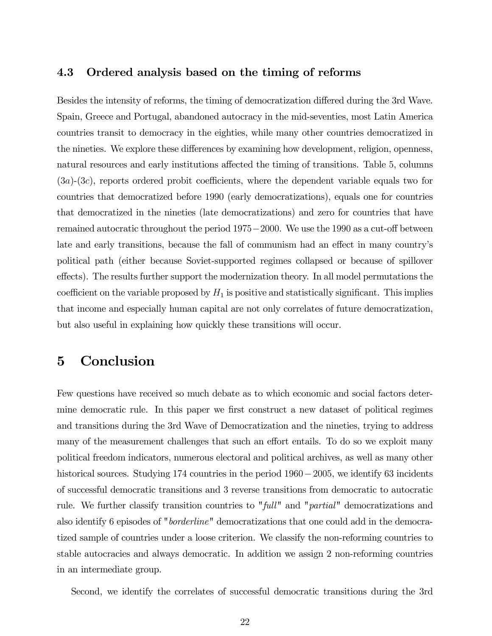### 4.3 Ordered analysis based on the timing of reforms

Besides the intensity of reforms, the timing of democratization differed during the 3rd Wave. Spain, Greece and Portugal, abandoned autocracy in the mid-seventies, most Latin America countries transit to democracy in the eighties, while many other countries democratized in the nineties. We explore these differences by examining how development, religion, openness, natural resources and early institutions affected the timing of transitions. Table 5, columns  $(3a)-(3c)$ , reports ordered probit coefficients, where the dependent variable equals two for countries that democratized before 1990 (early democratizations), equals one for countries that democratized in the nineties (late democratizations) and zero for countries that have remained autocratic throughout the period 1975−2000. We use the 1990 as a cut-off between late and early transitions, because the fall of communism had an effect in many country's political path (either because Soviet-supported regimes collapsed or because of spillover effects). The results further support the modernization theory. In all model permutations the coefficient on the variable proposed by  $H_1$  is positive and statistically significant. This implies that income and especially human capital are not only correlates of future democratization, but also useful in explaining how quickly these transitions will occur.

# 5 Conclusion

Few questions have received so much debate as to which economic and social factors determine democratic rule. In this paper we first construct a new dataset of political regimes and transitions during the 3rd Wave of Democratization and the nineties, trying to address many of the measurement challenges that such an effort entails. To do so we exploit many political freedom indicators, numerous electoral and political archives, as well as many other historical sources. Studying 174 countries in the period 1960−2005, we identify 63 incidents of successful democratic transitions and 3 reverse transitions from democratic to autocratic rule. We further classify transition countries to "full" and "partial" democratizations and also identify 6 episodes of "borderline" democratizations that one could add in the democratized sample of countries under a loose criterion. We classify the non-reforming countries to stable autocracies and always democratic. In addition we assign 2 non-reforming countries in an intermediate group.

Second, we identify the correlates of successful democratic transitions during the 3rd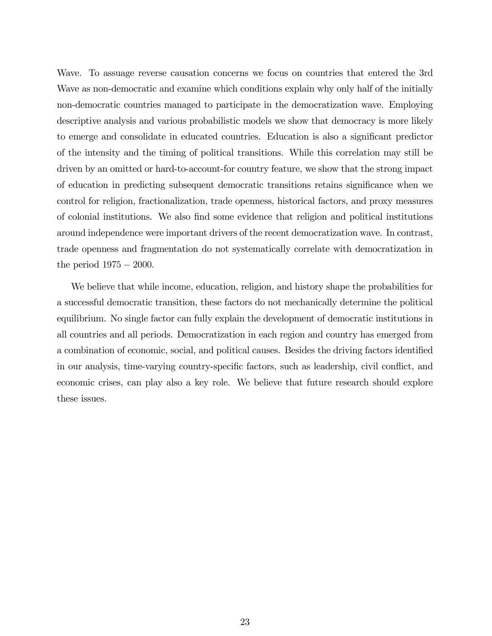Wave. To assuage reverse causation concerns we focus on countries that entered the 3rd Wave as non-democratic and examine which conditions explain why only half of the initially non-democratic countries managed to participate in the democratization wave. Employing descriptive analysis and various probabilistic models we show that democracy is more likely to emerge and consolidate in educated countries. Education is also a significant predictor of the intensity and the timing of political transitions. While this correlation may still be driven by an omitted or hard-to-account-for country feature, we show that the strong impact of education in predicting subsequent democratic transitions retains significance when we control for religion, fractionalization, trade openness, historical factors, and proxy measures of colonial institutions. We also find some evidence that religion and political institutions around independence were important drivers of the recent democratization wave. In contrast, trade openness and fragmentation do not systematically correlate with democratization in the period  $1975 - 2000$ .

We believe that while income, education, religion, and history shape the probabilities for a successful democratic transition, these factors do not mechanically determine the political equilibrium. No single factor can fully explain the development of democratic institutions in all countries and all periods. Democratization in each region and country has emerged from a combination of economic, social, and political causes. Besides the driving factors identified in our analysis, time-varying country-specific factors, such as leadership, civil conflict, and economic crises, can play also a key role. We believe that future research should explore these issues.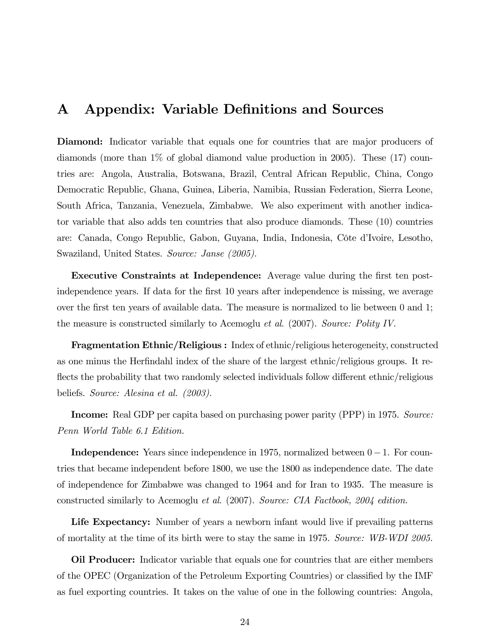## A Appendix: Variable Definitions and Sources

Diamond: Indicator variable that equals one for countries that are major producers of diamonds (more than 1% of global diamond value production in 2005). These (17) countries are: Angola, Australia, Botswana, Brazil, Central African Republic, China, Congo Democratic Republic, Ghana, Guinea, Liberia, Namibia, Russian Federation, Sierra Leone, South Africa, Tanzania, Venezuela, Zimbabwe. We also experiment with another indicator variable that also adds ten countries that also produce diamonds. These (10) countries are: Canada, Congo Republic, Gabon, Guyana, India, Indonesia, Côte d'Ivoire, Lesotho, Swaziland, United States. Source: Janse (2005).

Executive Constraints at Independence: Average value during the first ten postindependence years. If data for the first 10 years after independence is missing, we average over the first ten years of available data. The measure is normalized to lie between 0 and 1; the measure is constructed similarly to Acemoglu et al. (2007). Source: Polity IV.

Fragmentation Ethnic/Religious : Index of ethnic/religious heterogeneity, constructed as one minus the Herfindahl index of the share of the largest ethnic/religious groups. It reflects the probability that two randomly selected individuals follow different ethnic/religious beliefs. Source: Alesina et al. (2003).

Income: Real GDP per capita based on purchasing power parity (PPP) in 1975. Source: Penn World Table 6.1 Edition.

Independence: Years since independence in 1975, normalized between 0−1. For countries that became independent before 1800, we use the 1800 as independence date. The date of independence for Zimbabwe was changed to 1964 and for Iran to 1935. The measure is constructed similarly to Acemoglu et al. (2007). Source: CIA Factbook, 2004 edition.

Life Expectancy: Number of years a newborn infant would live if prevailing patterns of mortality at the time of its birth were to stay the same in 1975. Source: WB-WDI 2005.

Oil Producer: Indicator variable that equals one for countries that are either members of the OPEC (Organization of the Petroleum Exporting Countries) or classified by the IMF as fuel exporting countries. It takes on the value of one in the following countries: Angola,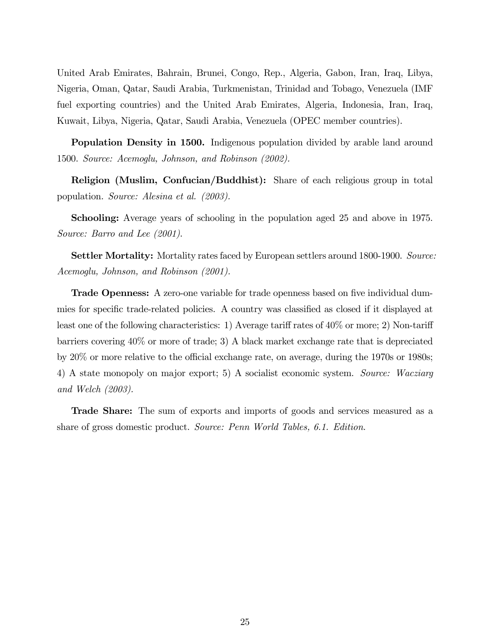United Arab Emirates, Bahrain, Brunei, Congo, Rep., Algeria, Gabon, Iran, Iraq, Libya, Nigeria, Oman, Qatar, Saudi Arabia, Turkmenistan, Trinidad and Tobago, Venezuela (IMF fuel exporting countries) and the United Arab Emirates, Algeria, Indonesia, Iran, Iraq, Kuwait, Libya, Nigeria, Qatar, Saudi Arabia, Venezuela (OPEC member countries).

Population Density in 1500. Indigenous population divided by arable land around 1500. Source: Acemoglu, Johnson, and Robinson (2002).

Religion (Muslim, Confucian/Buddhist): Share of each religious group in total population. Source: Alesina et al. (2003).

Schooling: Average years of schooling in the population aged 25 and above in 1975. Source: Barro and Lee (2001).

Settler Mortality: Mortality rates faced by European settlers around 1800-1900. Source: Acemoglu, Johnson, and Robinson (2001).

Trade Openness: A zero-one variable for trade openness based on five individual dummies for specific trade-related policies. A country was classified as closed if it displayed at least one of the following characteristics: 1) Average tariff rates of 40% or more; 2) Non-tariff barriers covering 40% or more of trade; 3) A black market exchange rate that is depreciated by 20% or more relative to the official exchange rate, on average, during the 1970s or 1980s; 4) A state monopoly on major export; 5) A socialist economic system. Source: Wacziarg and Welch (2003).

Trade Share: The sum of exports and imports of goods and services measured as a share of gross domestic product. Source: Penn World Tables, 6.1. Edition.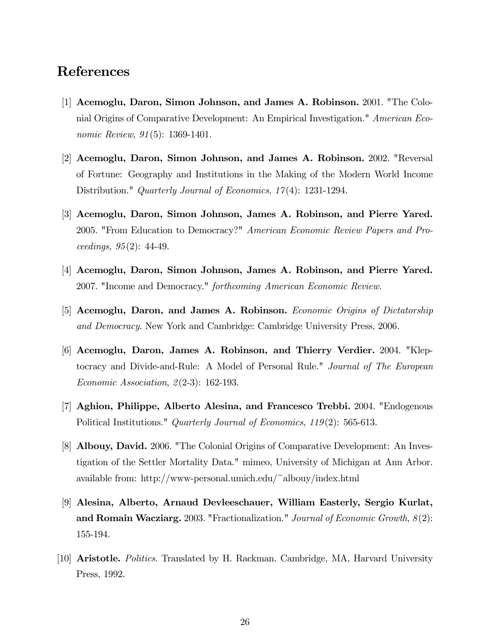## References

- [1] Acemoglu, Daron, Simon Johnson, and James A. Robinson. 2001. "The Colonial Origins of Comparative Development: An Empirical Investigation." American Economic Review,  $91(5)$ : 1369-1401.
- [2] Acemoglu, Daron, Simon Johnson, and James A. Robinson. 2002. "Reversal of Fortune: Geography and Institutions in the Making of the Modern World Income Distribution." *Quarterly Journal of Economics, 17(4)*: 1231-1294.
- [3] Acemoglu, Daron, Simon Johnson, James A. Robinson, and Pierre Yared. 2005. "From Education to Democracy?" American Economic Review Papers and Proceedings, 95(2): 44-49.
- [4] Acemoglu, Daron, Simon Johnson, James A. Robinson, and Pierre Yared. 2007. "Income and Democracy." forthcoming American Economic Review.
- [5] Acemoglu, Daron, and James A. Robinson. Economic Origins of Dictatorship and Democracy. New York and Cambridge: Cambridge University Press, 2006.
- [6] Acemoglu, Daron, James A. Robinson, and Thierry Verdier. 2004. "Kleptocracy and Divide-and-Rule: A Model of Personal Rule." Journal of The European Economic Association, 2(2-3): 162-193.
- [7] Aghion, Philippe, Alberto Alesina, and Francesco Trebbi. 2004. "Endogenous Political Institutions." Quarterly Journal of Economics, 119(2): 565-613.
- [8] Albouy, David. 2006. "The Colonial Origins of Comparative Development: An Investigation of the Settler Mortality Data." mimeo, University of Michigan at Ann Arbor. available from: http://www-personal.umich.edu/~albouy/index.html
- [9] Alesina, Alberto, Arnaud Devleeschauer, William Easterly, Sergio Kurlat, and Romain Wacziarg. 2003. "Fractionalization." Journal of Economic Growth,  $8(2)$ : 155-194.
- [10] Aristotle. Politics. Translated by H. Rackman. Cambridge, MA, Harvard University Press, 1992.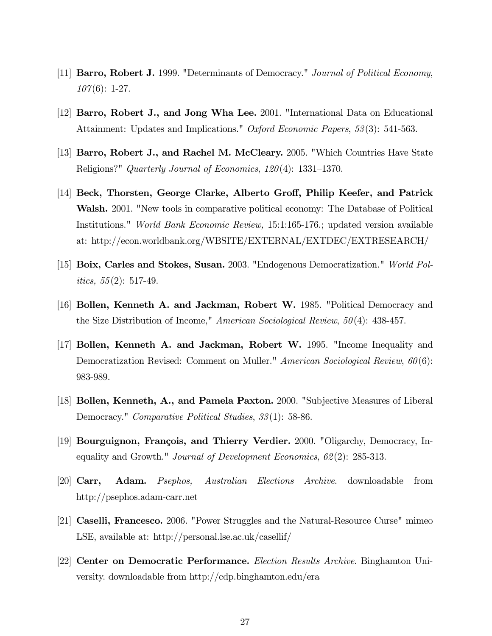- [11] **Barro, Robert J.** 1999. "Determinants of Democracy." Journal of Political Economy,  $107(6): 1-27.$
- [12] Barro, Robert J., and Jong Wha Lee. 2001. "International Data on Educational Attainment: Updates and Implications." Oxford Economic Papers, 53(3): 541-563.
- [13] Barro, Robert J., and Rachel M. McCleary. 2005. "Which Countries Have State Religions?" Quarterly Journal of Economics, 120(4): 1331—1370.
- [14] Beck, Thorsten, George Clarke, Alberto Groff, Philip Keefer, and Patrick Walsh. 2001. "New tools in comparative political economy: The Database of Political Institutions." World Bank Economic Review, 15:1:165-176.; updated version available at: http://econ.worldbank.org/WBSITE/EXTERNAL/EXTDEC/EXTRESEARCH/
- [15] Boix, Carles and Stokes, Susan. 2003. "Endogenous Democratization." World Pol*itics*,  $55(2)$ : 517-49.
- [16] Bollen, Kenneth A. and Jackman, Robert W. 1985. "Political Democracy and the Size Distribution of Income," American Sociological Review,  $50(4)$ : 438-457.
- [17] Bollen, Kenneth A. and Jackman, Robert W. 1995. "Income Inequality and Democratization Revised: Comment on Muller." American Sociological Review, 60(6): 983-989.
- [18] Bollen, Kenneth, A., and Pamela Paxton. 2000. "Subjective Measures of Liberal Democracy." Comparative Political Studies, 33(1): 58-86.
- [19] Bourguignon, François, and Thierry Verdier. 2000. "Oligarchy, Democracy, Inequality and Growth." Journal of Development Economics,  $62(2)$ : 285-313.
- [20] Carr, Adam. Psephos, Australian Elections Archive. downloadable from http://psephos.adam-carr.net
- [21] Caselli, Francesco. 2006. "Power Struggles and the Natural-Resource Curse" mimeo LSE, available at: http://personal.lse.ac.uk/casellif/
- [22] Center on Democratic Performance. Election Results Archive. Binghamton University. downloadable from http://cdp.binghamton.edu/era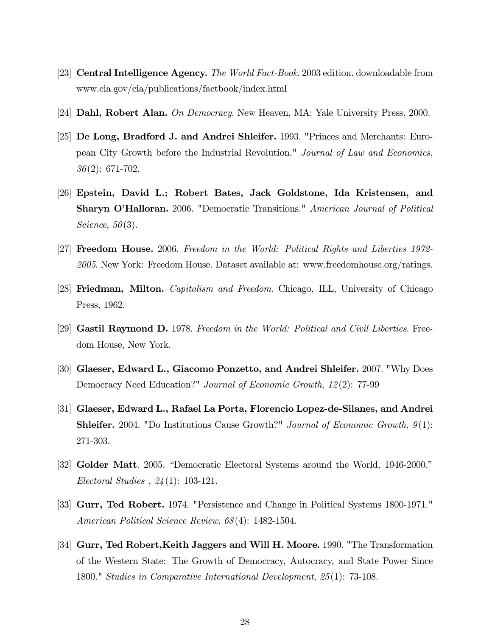- [23] Central Intelligence Agency. The World Fact-Book. 2003 edition. downloadable from www.cia.gov/cia/publications/factbook/index.html
- [24] Dahl, Robert Alan. On Democracy. New Heaven, MA: Yale University Press, 2000.
- [25] De Long, Bradford J. and Andrei Shleifer. 1993. "Princes and Merchants: European City Growth before the Industrial Revolution," Journal of Law and Economics, 36(2): 671-702.
- [26] Epstein, David L.; Robert Bates, Jack Goldstone, Ida Kristensen, and Sharyn O'Halloran. 2006. "Democratic Transitions." American Journal of Political Science,  $50(3)$ .
- [27] Freedom House. 2006. Freedom in the World: Political Rights and Liberties 1972- 2005. New York: Freedom House. Dataset available at: www.freedomhouse.org/ratings.
- [28] **Friedman, Milton.** Capitalism and Freedom. Chicago, ILL, University of Chicago Press, 1962.
- [29] Gastil Raymond D. 1978. Freedom in the World: Political and Civil Liberties. Freedom House, New York.
- [30] Glaeser, Edward L., Giacomo Ponzetto, and Andrei Shleifer. 2007. "Why Does Democracy Need Education?" Journal of Economic Growth, 12(2): 77-99
- [31] Glaeser, Edward L., Rafael La Porta, Florencio Lopez-de-Silanes, and Andrei Shleifer. 2004. "Do Institutions Cause Growth?" Journal of Economic Growth, 9(1): 271-303.
- [32] Golder Matt. 2005. "Democratic Electoral Systems around the World, 1946-2000." Electoral Studies , 24(1): 103-121.
- [33] Gurr, Ted Robert. 1974. "Persistence and Change in Political Systems 1800-1971." American Political Science Review, 68(4): 1482-1504.
- [34] Gurr, Ted Robert,Keith Jaggers and Will H. Moore. 1990. "The Transformation of the Western State: The Growth of Democracy, Autocracy, and State Power Since 1800." Studies in Comparative International Development, 25(1): 73-108.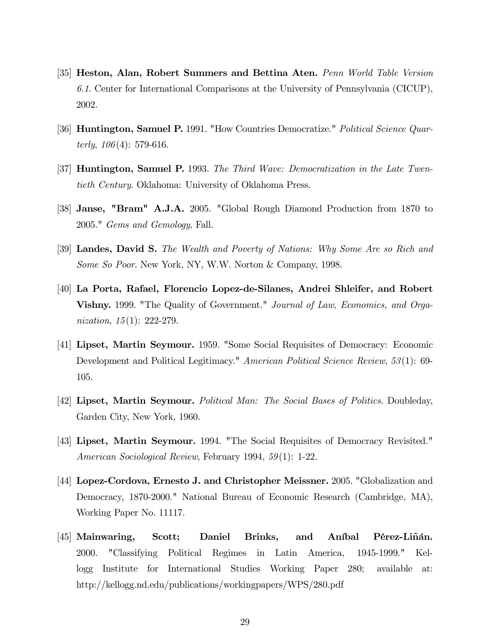- [35] Heston, Alan, Robert Summers and Bettina Aten. Penn World Table Version 6.1. Center for International Comparisons at the University of Pennsylvania (CICUP), 2002.
- [36] **Huntington, Samuel P.** 1991. "How Countries Democratize." *Political Science Quar*terly,  $106(4)$ : 579-616.
- [37] Huntington, Samuel P. 1993. The Third Wave: Democratization in the Late Twentieth Century. Oklahoma: University of Oklahoma Press.
- [38] Janse, "Bram" A.J.A. 2005. "Global Rough Diamond Production from 1870 to 2005." Gems and Gemology, Fall.
- [39] Landes, David S. The Wealth and Poverty of Nations: Why Some Are so Rich and Some So Poor. New York, NY, W.W. Norton & Company, 1998.
- [40] La Porta, Rafael, Florencio Lopez-de-Silanes, Andrei Shleifer, and Robert Vishny. 1999. "The Quality of Government." Journal of Law, Economics, and Organization, 15(1): 222-279.
- [41] Lipset, Martin Seymour. 1959. "Some Social Requisites of Democracy: Economic Development and Political Legitimacy." American Political Science Review, 53(1): 69-105.
- [42] Lipset, Martin Seymour. Political Man: The Social Bases of Politics. Doubleday, Garden City, New York, 1960.
- [43] Lipset, Martin Seymour. 1994. "The Social Requisites of Democracy Revisited." American Sociological Review, February 1994, 59(1): 1-22.
- [44] Lopez-Cordova, Ernesto J. and Christopher Meissner. 2005. "Globalization and Democracy, 1870-2000." National Bureau of Economic Research (Cambridge, MA), Working Paper No. 11117.
- [45] Mainwaring, Scott; Daniel Brinks, and Aníbal Pérez-Liñán. 2000. "Classifying Political Regimes in Latin America, 1945-1999." Kellogg Institute for International Studies Working Paper 280; available at: http://kellogg.nd.edu/publications/workingpapers/WPS/280.pdf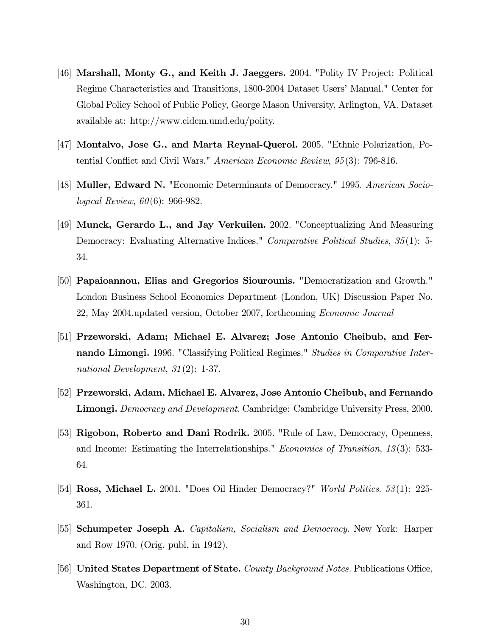- [46] Marshall, Monty G., and Keith J. Jaeggers. 2004. "Polity IV Project: Political Regime Characteristics and Transitions, 1800-2004 Dataset Users' Manual." Center for Global Policy School of Public Policy, George Mason University, Arlington, VA. Dataset available at: http://www.cidcm.umd.edu/polity.
- [47] Montalvo, Jose G., and Marta Reynal-Querol. 2005. "Ethnic Polarization, Potential Conflict and Civil Wars." American Economic Review, 95(3): 796-816.
- [48] Muller, Edward N. "Economic Determinants of Democracy." 1995. American Sociological Review, 60(6): 966-982.
- [49] Munck, Gerardo L., and Jay Verkuilen. 2002. "Conceptualizing And Measuring Democracy: Evaluating Alternative Indices." Comparative Political Studies, 35(1): 5- 34.
- [50] Papaioannou, Elias and Gregorios Siourounis. "Democratization and Growth." London Business School Economics Department (London, UK) Discussion Paper No. 22, May 2004.updated version, October 2007, forthcoming Economic Journal
- [51] Przeworski, Adam; Michael E. Alvarez; Jose Antonio Cheibub, and Fernando Limongi. 1996. "Classifying Political Regimes." Studies in Comparative International Development, 31(2): 1-37.
- [52] Przeworski, Adam, Michael E. Alvarez, Jose Antonio Cheibub, and Fernando Limongi. Democracy and Development. Cambridge: Cambridge University Press, 2000.
- [53] Rigobon, Roberto and Dani Rodrik. 2005. "Rule of Law, Democracy, Openness, and Income: Estimating the Interrelationships." Economics of Transition, 13(3): 533- 64.
- [54] Ross, Michael L. 2001. "Does Oil Hinder Democracy?" World Politics. 53(1): 225- 361.
- [55] Schumpeter Joseph A. Capitalism, Socialism and Democracy. New York: Harper and Row 1970. (Orig. publ. in 1942).
- [56] United States Department of State. County Background Notes. Publications Office, Washington, DC. 2003.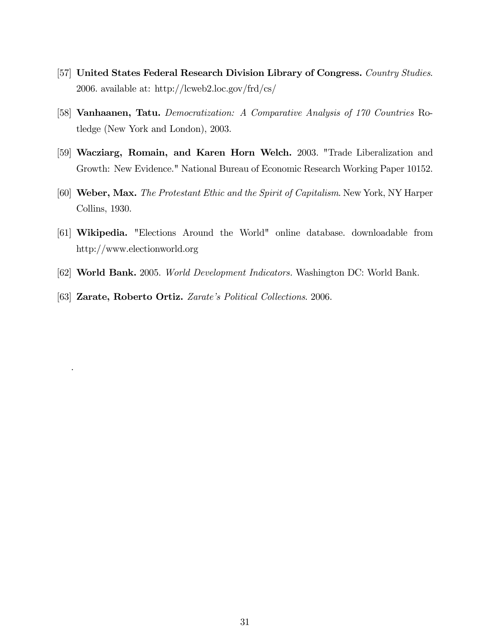- [57] United States Federal Research Division Library of Congress. Country Studies. 2006. available at: http://lcweb2.loc.gov/frd/cs/
- [58] Vanhaanen, Tatu. Democratization: A Comparative Analysis of 170 Countries Rotledge (New York and London), 2003.
- [59] Wacziarg, Romain, and Karen Horn Welch. 2003. "Trade Liberalization and Growth: New Evidence." National Bureau of Economic Research Working Paper 10152.
- [60] Weber, Max. The Protestant Ethic and the Spirit of Capitalism. New York, NY Harper Collins, 1930.
- [61] Wikipedia. "Elections Around the World" online database. downloadable from http://www.electionworld.org
- [62] World Bank. 2005. World Development Indicators. Washington DC: World Bank.
- [63] **Zarate, Roberto Ortiz.** Zarate's Political Collections. 2006.

.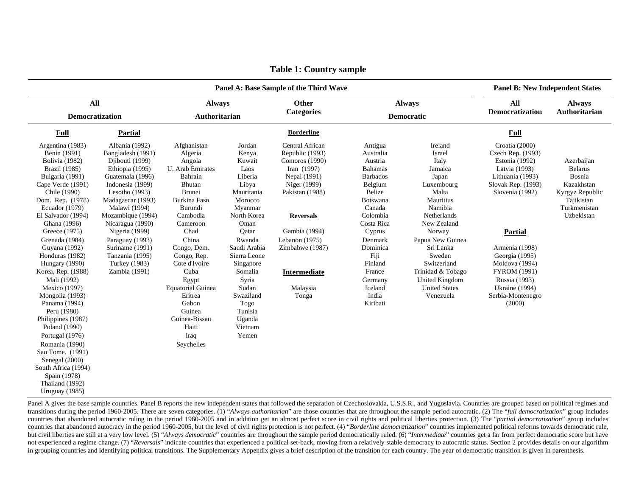| Panel A: Base Sample of the Third Wave                                                                                                                                                                                                                                                                                                                                                                                                                                                                                                                                                                    |                                                                                                                                                                                                                                                                                                                                   |                                                                                                                                                                                                                                                                                                                                                 |                                                                                                                                                                                                                                                                             |                                                                                                                                                                                                                                           |                                                                                                                                                                                                                                                    |                                                                                                                                                                                                                                                                             |                                                                                                                                                                                                                                                                                               | <b>Panel B: New Independent States</b>                                                                              |  |  |
|-----------------------------------------------------------------------------------------------------------------------------------------------------------------------------------------------------------------------------------------------------------------------------------------------------------------------------------------------------------------------------------------------------------------------------------------------------------------------------------------------------------------------------------------------------------------------------------------------------------|-----------------------------------------------------------------------------------------------------------------------------------------------------------------------------------------------------------------------------------------------------------------------------------------------------------------------------------|-------------------------------------------------------------------------------------------------------------------------------------------------------------------------------------------------------------------------------------------------------------------------------------------------------------------------------------------------|-----------------------------------------------------------------------------------------------------------------------------------------------------------------------------------------------------------------------------------------------------------------------------|-------------------------------------------------------------------------------------------------------------------------------------------------------------------------------------------------------------------------------------------|----------------------------------------------------------------------------------------------------------------------------------------------------------------------------------------------------------------------------------------------------|-----------------------------------------------------------------------------------------------------------------------------------------------------------------------------------------------------------------------------------------------------------------------------|-----------------------------------------------------------------------------------------------------------------------------------------------------------------------------------------------------------------------------------------------------------------------------------------------|---------------------------------------------------------------------------------------------------------------------|--|--|
| <b>All</b><br>Democratization                                                                                                                                                                                                                                                                                                                                                                                                                                                                                                                                                                             |                                                                                                                                                                                                                                                                                                                                   | <b>Always</b><br>Authoritarian                                                                                                                                                                                                                                                                                                                  |                                                                                                                                                                                                                                                                             | Other<br><b>Categories</b>                                                                                                                                                                                                                | <b>Always</b><br><b>Democratic</b>                                                                                                                                                                                                                 |                                                                                                                                                                                                                                                                             | <b>All</b><br>Democratization                                                                                                                                                                                                                                                                 | <b>Always</b><br>Authoritarian                                                                                      |  |  |
| <b>Full</b>                                                                                                                                                                                                                                                                                                                                                                                                                                                                                                                                                                                               | <b>Partial</b>                                                                                                                                                                                                                                                                                                                    |                                                                                                                                                                                                                                                                                                                                                 |                                                                                                                                                                                                                                                                             | <b>Borderline</b>                                                                                                                                                                                                                         |                                                                                                                                                                                                                                                    |                                                                                                                                                                                                                                                                             | <b>Full</b>                                                                                                                                                                                                                                                                                   |                                                                                                                     |  |  |
| Argentina (1983)<br>Benin (1991)<br>Bolivia (1982)<br>Brazil (1985)<br>Bulgaria (1991)<br>Cape Verde (1991)<br>Chile (1990)<br>Dom. Rep. (1978)<br>Ecuador $(1979)$<br>El Salvador (1994)<br>Ghana (1996)<br>Greece (1975)<br>Grenada (1984)<br>Guyana (1992)<br>Honduras (1982)<br>Hungary (1990)<br>Korea, Rep. (1988)<br>Mali (1992)<br>Mexico (1997)<br>Mongolia (1993)<br>Panama (1994)<br>Peru (1980)<br>Philippines (1987)<br>Poland (1990)<br>Portugal (1976)<br>Romania (1990)<br>Sao Tome. (1991)<br>Senegal (2000)<br>South Africa (1994)<br>Spain (1978)<br>Thailand (1992)<br>Uruguay (1985) | Albania (1992)<br>Bangladesh (1991)<br>Djibouti (1999)<br>Ethiopia (1995)<br>Guatemala (1996)<br>Indonesia (1999)<br>Lesotho $(1993)$<br>Madagascar (1993)<br>Malawi (1994)<br>Mozambique (1994)<br>Nicaragua (1990)<br>Nigeria (1999)<br>Paraguay (1993)<br>Suriname (1991)<br>Tanzania (1995)<br>Turkey (1983)<br>Zambia (1991) | Afghanistan<br>Algeria<br>Angola<br>U. Arab Emirates<br>Bahrain<br>Bhutan<br><b>Brunei</b><br><b>Burkina Faso</b><br>Burundi<br>Cambodia<br>Cameroon<br>Chad<br>China<br>Congo, Dem.<br>Congo, Rep.<br>Cote d'Ivoire<br>Cuba<br>Egypt<br><b>Equatorial Guinea</b><br>Eritrea<br>Gabon<br>Guinea<br>Guinea-Bissau<br>Haiti<br>Iraq<br>Seychelles | Jordan<br>Kenya<br>Kuwait<br>Laos<br>Liberia<br>Libya<br>Mauritania<br>Morocco<br>Myanmar<br>North Korea<br>Oman<br>Qatar<br>Rwanda<br>Saudi Arabia<br>Sierra Leone<br>Singapore<br>Somalia<br>Syria<br>Sudan<br>Swaziland<br>Togo<br>Tunisia<br>Uganda<br>Vietnam<br>Yemen | Central African<br>Republic (1993)<br>Comoros (1990)<br>Iran $(1997)$<br>Nepal (1991)<br>Niger (1999)<br>Pakistan (1988)<br><b>Reversals</b><br>Gambia (1994)<br>Lebanon $(1975)$<br>Zimbabwe (1987)<br>Intermediate<br>Malaysia<br>Tonga | Antigua<br>Australia<br>Austria<br><b>Bahamas</b><br><b>Barbados</b><br>Belgium<br>Belize<br>Botswana<br>Canada<br>Colombia<br>Costa Rica<br>Cyprus<br>Denmark<br>Dominica<br>Fiji<br>Finland<br>France<br>Germany<br>Iceland<br>India<br>Kiribati | Ireland<br>Israel<br>Italy<br>Jamaica<br>Japan<br>Luxembourg<br>Malta<br>Mauritius<br>Namibia<br>Netherlands<br>New Zealand<br>Norway<br>Papua New Guinea<br>Sri Lanka<br>Sweden<br>Switzerland<br>Trinidad & Tobago<br>United Kingdom<br><b>United States</b><br>Venezuela | Croatia (2000)<br>Czech Rep. (1993)<br>Estonia (1992)<br>Latvia (1993)<br>Lithuania (1993)<br>Slovak Rep. (1993)<br>Slovenia (1992)<br>Partial<br>Armenia (1998)<br>Georgia (1995)<br>Moldova (1994)<br><b>FYROM (1991)</b><br>Russia (1993)<br>Ukraine (1994)<br>Serbia-Montenegro<br>(2000) | Azerbaijan<br><b>Belarus</b><br>Bosnia<br>Kazakhstan<br>Kyrgyz Republic<br>Tajikistan<br>Turkmenistan<br>Uzbekistan |  |  |

**Table 1: Country sample** 

Panel A gives the base sample countries. Panel B reports the new independent states that followed the separation of Czechoslovakia, U.S.S.R., and Yugoslavia. Countries are grouped based on political regimes and transitions during the period 1960-2005. There are seven categories. (1) "Always authoritarian" are those countries that are throughout the sample period autocratic. (2) The "full democratization" group includes countries that abandoned autocratic ruling in the period 1960-2005 and in addition get an almost perfect score in civil rights and political liberties protection. (3) The "partial democratization" group includes countries that abandoned autocracy in the period 1960-2005, but the level of civil rights protection is not perfect. (4) "*Borderline democratization*" countries implemented political reforms towards democratic rule, but civil liberties are still at a very low level. (5) "Always democratic" countries are throughout the sample period democratically ruled. (6) "Intermediate" countries get a far from perfect democratic score but have not experienced a regime change. (7) "*Reversals*" indicate countries that experienced a political set-back, moving from a relatively stable democracy to autocratic status. Section 2 provides details on our algorithm in grouping countries and identifying political transitions. The Supplementary Appendix gives a brief description of the transition for each country. The year of democratic transition is given in parenthesis.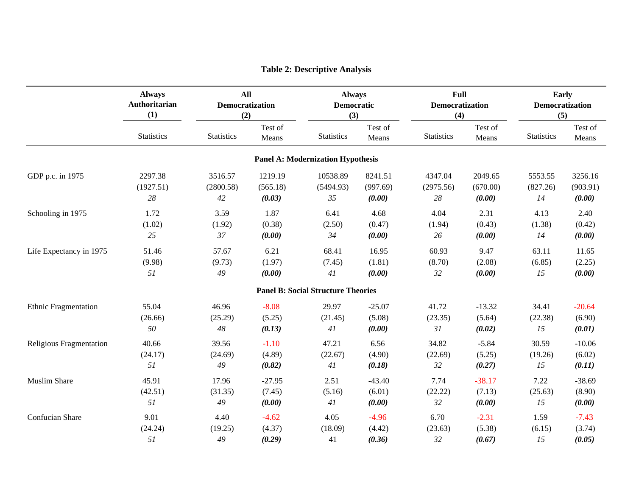|                             | <b>Always</b><br>All<br>Authoritarian<br>Democratization<br>(1)<br>(2) |                   | <b>Always</b><br><b>Democratic</b><br>(3) |                                           | <b>Full</b><br><b>Democratization</b><br>(4) |                   | Early<br>Democratization<br>(5) |                   |                  |
|-----------------------------|------------------------------------------------------------------------|-------------------|-------------------------------------------|-------------------------------------------|----------------------------------------------|-------------------|---------------------------------|-------------------|------------------|
|                             | <b>Statistics</b>                                                      | <b>Statistics</b> | Test of<br>Means                          | <b>Statistics</b>                         | Test of<br>Means                             | <b>Statistics</b> | Test of<br>Means                | <b>Statistics</b> | Test of<br>Means |
|                             |                                                                        |                   |                                           | <b>Panel A: Modernization Hypothesis</b>  |                                              |                   |                                 |                   |                  |
| GDP p.c. in 1975            | 2297.38                                                                | 3516.57           | 1219.19                                   | 10538.89                                  | 8241.51                                      | 4347.04           | 2049.65                         | 5553.55           | 3256.16          |
|                             | (1927.51)                                                              | (2800.58)         | (565.18)                                  | (5494.93)                                 | (997.69)                                     | (2975.56)         | (670.00)                        | (827.26)          | (903.91)         |
|                             | 28                                                                     | 42                | (0.03)                                    | 35                                        | (0.00)                                       | $28\,$            | (0.00)                          | 14                | (0.00)           |
| Schooling in 1975           | 1.72                                                                   | 3.59              | 1.87                                      | 6.41                                      | 4.68                                         | 4.04              | 2.31                            | 4.13              | 2.40             |
|                             | (1.02)                                                                 | (1.92)            | (0.38)                                    | (2.50)                                    | (0.47)                                       | (1.94)            | (0.43)                          | (1.38)            | (0.42)           |
|                             | 25                                                                     | 37                | (0.00)                                    | 34                                        | (0.00)                                       | 26                | (0.00)                          | 14                | (0.00)           |
| Life Expectancy in 1975     | 51.46                                                                  | 57.67             | 6.21                                      | 68.41                                     | 16.95                                        | 60.93             | 9.47                            | 63.11             | 11.65            |
|                             | (9.98)                                                                 | (9.73)            | (1.97)                                    | (7.45)                                    | (1.81)                                       | (8.70)            | (2.08)                          | (6.85)            | (2.25)           |
|                             | 51                                                                     | 49                | (0.00)                                    | 41                                        | (0.00)                                       | 32                | (0.00)                          | 15                | (0.00)           |
|                             |                                                                        |                   |                                           | <b>Panel B: Social Structure Theories</b> |                                              |                   |                                 |                   |                  |
| <b>Ethnic Fragmentation</b> | 55.04                                                                  | 46.96             | $-8.08$                                   | 29.97                                     | $-25.07$                                     | 41.72             | $-13.32$                        | 34.41             | $-20.64$         |
|                             | (26.66)                                                                | (25.29)           | (5.25)                                    | (21.45)                                   | (5.08)                                       | (23.35)           | (5.64)                          | (22.38)           | (6.90)           |
|                             | 50                                                                     | $\sqrt{48}$       | (0.13)                                    | 41                                        | (0.00)                                       | 31                | (0.02)                          | 15                | (0.01)           |
| Religious Fragmentation     | 40.66                                                                  | 39.56             | $-1.10$                                   | 47.21                                     | 6.56                                         | 34.82             | $-5.84$                         | 30.59             | $-10.06$         |
|                             | (24.17)                                                                | (24.69)           | (4.89)                                    | (22.67)                                   | (4.90)                                       | (22.69)           | (5.25)                          | (19.26)           | (6.02)           |
|                             | 51                                                                     | 49                | (0.82)                                    | 41                                        | (0.18)                                       | 32                | (0.27)                          | 15                | (0.11)           |
| <b>Muslim Share</b>         | 45.91                                                                  | 17.96             | $-27.95$                                  | 2.51                                      | $-43.40$                                     | 7.74              | $-38.17$                        | 7.22              | $-38.69$         |
|                             | (42.51)                                                                | (31.35)           | (7.45)                                    | (5.16)                                    | (6.01)                                       | (22.22)           | (7.13)                          | (25.63)           | (8.90)           |
|                             | 51                                                                     | 49                | (0.00)                                    | 41                                        | (0.00)                                       | 32                | (0.00)                          | 15                | (0.00)           |
| Confucian Share             | 9.01                                                                   | 4.40              | $-4.62$                                   | 4.05                                      | $-4.96$                                      | 6.70              | $-2.31$                         | 1.59              | $-7.43$          |
|                             | (24.24)                                                                | (19.25)           | (4.37)                                    | (18.09)                                   | (4.42)                                       | (23.63)           | (5.38)                          | (6.15)            | (3.74)           |
|                             | 51                                                                     | 49                | (0.29)                                    | 41                                        | (0.36)                                       | 32                | (0.67)                          | 15                | (0.05)           |

## **Table 2: Descriptive Analysis**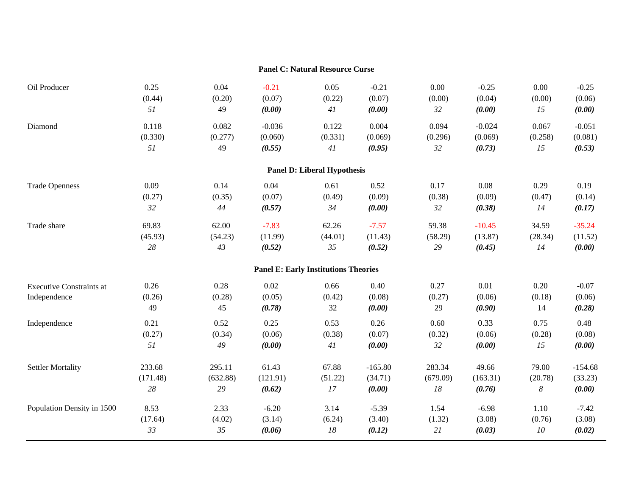|                                                 |                      |                      |                          | <b>Panel C: Natural Resource Curse</b>      |                          |                      |                          |                      |                             |
|-------------------------------------------------|----------------------|----------------------|--------------------------|---------------------------------------------|--------------------------|----------------------|--------------------------|----------------------|-----------------------------|
| Oil Producer                                    | 0.25                 | 0.04                 | $-0.21$                  | 0.05                                        | $-0.21$                  | 0.00                 | $-0.25$                  | 0.00                 | $-0.25$                     |
|                                                 | (0.44)               | (0.20)               | (0.07)                   | (0.22)                                      | (0.07)                   | (0.00)               | (0.04)                   | (0.00)               | (0.06)                      |
|                                                 | 51                   | 49                   | (0.00)                   | 41                                          | (0.00)                   | 32                   | (0.00)                   | 15                   | (0.00)                      |
| Diamond                                         | 0.118                | 0.082                | $-0.036$                 | 0.122                                       | 0.004                    | 0.094                | $-0.024$                 | 0.067                | $-0.051$                    |
|                                                 | (0.330)              | (0.277)              | (0.060)                  | (0.331)                                     | (0.069)                  | (0.296)              | (0.069)                  | (0.258)              | (0.081)                     |
|                                                 | 51                   | 49                   | (0.55)                   | 41                                          | (0.95)                   | 32                   | (0.73)                   | 15                   | (0.53)                      |
|                                                 |                      |                      |                          | <b>Panel D: Liberal Hypothesis</b>          |                          |                      |                          |                      |                             |
| <b>Trade Openness</b>                           | 0.09                 | 0.14                 | 0.04                     | 0.61                                        | 0.52                     | 0.17                 | 0.08                     | 0.29                 | 0.19                        |
|                                                 | (0.27)               | (0.35)               | (0.07)                   | (0.49)                                      | (0.09)                   | (0.38)               | (0.09)                   | (0.47)               | (0.14)                      |
|                                                 | 32                   | 44                   | (0.57)                   | 34                                          | (0.00)                   | 32                   | (0.38)                   | 14                   | (0.17)                      |
| Trade share                                     | 69.83                | 62.00                | $-7.83$                  | 62.26                                       | $-7.57$                  | 59.38                | $-10.45$                 | 34.59                | $-35.24$                    |
|                                                 | (45.93)              | (54.23)              | (11.99)                  | (44.01)                                     | (11.43)                  | (58.29)              | (13.87)                  | (28.34)              | (11.52)                     |
|                                                 | 28                   | 43                   | (0.52)                   | 35                                          | (0.52)                   | 29                   | (0.45)                   | 14                   | (0.00)                      |
|                                                 |                      |                      |                          | <b>Panel E: Early Institutions Theories</b> |                          |                      |                          |                      |                             |
| <b>Executive Constraints at</b><br>Independence | 0.26<br>(0.26)<br>49 | 0.28<br>(0.28)<br>45 | 0.02<br>(0.05)<br>(0.78) | 0.66<br>(0.42)<br>32                        | 0.40<br>(0.08)<br>(0.00) | 0.27<br>(0.27)<br>29 | 0.01<br>(0.06)<br>(0.90) | 0.20<br>(0.18)<br>14 | $-0.07$<br>(0.06)<br>(0.28) |
| Independence                                    | 0.21                 | 0.52                 | 0.25                     | 0.53                                        | 0.26                     | 0.60                 | 0.33                     | 0.75                 | 0.48                        |
|                                                 | (0.27)               | (0.34)               | (0.06)                   | (0.38)                                      | (0.07)                   | (0.32)               | (0.06)                   | (0.28)               | (0.08)                      |
|                                                 | 51                   | 49                   | (0.00)                   | 41                                          | (0.00)                   | 32                   | (0.00)                   | 15                   | (0.00)                      |
| <b>Settler Mortality</b>                        | 233.68               | 295.11               | 61.43                    | 67.88                                       | $-165.80$                | 283.34               | 49.66                    | 79.00                | $-154.68$                   |
|                                                 | (171.48)             | (632.88)             | (121.91)                 | (51.22)                                     | (34.71)                  | (679.09)             | (163.31)                 | (20.78)              | (33.23)                     |
|                                                 | 28                   | 29                   | (0.62)                   | 17                                          | (0.00)                   | ${\it 18}$           | (0.76)                   | $\boldsymbol{8}$     | (0.00)                      |
| Population Density in 1500                      | 8.53                 | 2.33                 | $-6.20$                  | 3.14                                        | $-5.39$                  | 1.54                 | $-6.98$                  | 1.10                 | $-7.42$                     |
|                                                 | (17.64)              | (4.02)               | (3.14)                   | (6.24)                                      | (3.40)                   | (1.32)               | (3.08)                   | (0.76)               | (3.08)                      |
|                                                 | 33                   | 35                   | (0.06)                   | 18                                          | (0.12)                   | 21                   | (0.03)                   | 10                   | (0.02)                      |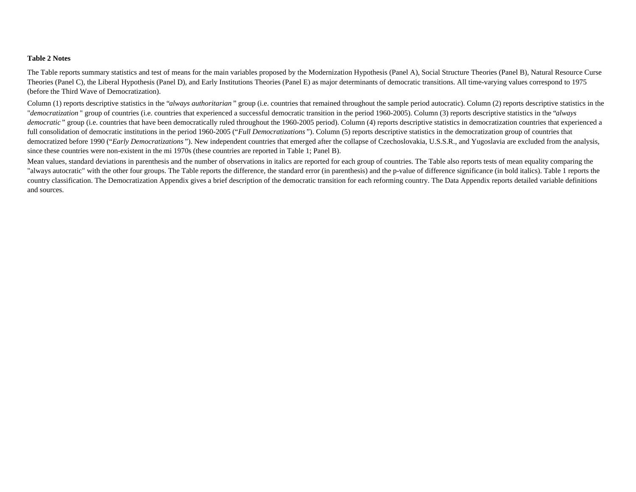#### **Table 2 Notes**

The Table reports summary statistics and test of means for the main variables proposed by the Modernization Hypothesis (Panel A), Social Structure Theories (Panel B), Natural Resource Curse Theories (Panel C), the Liberal Hypothesis (Panel D), and Early Institutions Theories (Panel E) as major determinants of democratic transitions. All time-varying values correspond to 1975 (before the Third Wave of Democratization).

Column (1) reports descriptive statistics in the "*always authoritarian*" group (i.e. countries that remained throughout the sample period autocratic). Column (2) reports descriptive statistics in the "*democratization* " group of countries (i.e. countries that experienced a successful democratic transition in the period 1960-2005). Column (3) reports descriptive statistics in the "*always*  democratic" group (i.e. countries that have been democratically ruled throughout the 1960-2005 period). Column (4) reports descriptive statistics in democratization countries that experienced a full consolidation of democratic institutions in the period 1960-2005 ("*Full Democratizations*"). Column (5) reports descriptive statistics in the democratization group of countries that democratized before 1990 ("Early Democratizations"). New independent countries that emerged after the collapse of Czechoslovakia, U.S.S.R., and Yugoslavia are excluded from the analysis, since these countries were non-existent in the mi 1970s (these countries are reported in Table 1; Panel B).

Mean values, standard deviations in parenthesis and the number of observations in italics are reported for each group of countries. The Table also reports tests of mean equality comparing the "always autocratic" with the other four groups. The Table reports the difference, the standard error (in parenthesis) and the p-value of difference significance (in bold italics). Table 1 reports the country classification. The Democratization Appendix gives a brief description of the democratic transition for each reforming country. The Data Appendix reports detailed variable definitions and sources.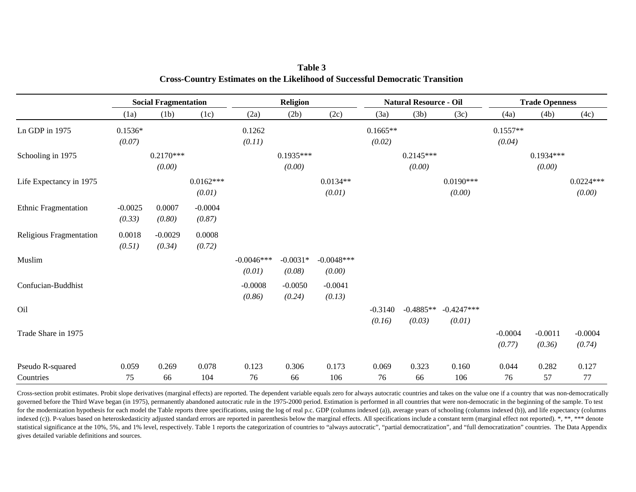|                             | <b>Social Fragmentation</b> |                       |                       | <b>Religion</b>        |                       |                        | <b>Natural Resource - Oil</b> |                       |                        | <b>Trade Openness</b> |                       |                       |
|-----------------------------|-----------------------------|-----------------------|-----------------------|------------------------|-----------------------|------------------------|-------------------------------|-----------------------|------------------------|-----------------------|-----------------------|-----------------------|
|                             | (1a)                        | (1b)                  | (1c)                  | (2a)                   | (2b)                  | (2c)                   | (3a)                          | (3b)                  | (3c)                   | (4a)                  | (4b)                  | (4c)                  |
| Ln GDP in 1975              | $0.1536*$<br>(0.07)         |                       |                       | 0.1262<br>(0.11)       |                       |                        | $0.1665**$<br>(0.02)          |                       |                        | $0.1557**$<br>(0.04)  |                       |                       |
| Schooling in 1975           |                             | $0.2170***$<br>(0.00) |                       |                        | $0.1935***$<br>(0.00) |                        |                               | $0.2145***$<br>(0.00) |                        |                       | $0.1934***$<br>(0.00) |                       |
| Life Expectancy in 1975     |                             |                       | $0.0162***$<br>(0.01) |                        |                       | $0.0134**$<br>(0.01)   |                               |                       | $0.0190***$<br>(0.00)  |                       |                       | $0.0224***$<br>(0.00) |
| <b>Ethnic Fragmentation</b> | $-0.0025$<br>(0.33)         | 0.0007<br>(0.80)      | $-0.0004$<br>(0.87)   |                        |                       |                        |                               |                       |                        |                       |                       |                       |
| Religious Fragmentation     | 0.0018<br>(0.51)            | $-0.0029$<br>(0.34)   | 0.0008<br>(0.72)      |                        |                       |                        |                               |                       |                        |                       |                       |                       |
| Muslim                      |                             |                       |                       | $-0.0046***$<br>(0.01) | $-0.0031*$<br>(0.08)  | $-0.0048***$<br>(0.00) |                               |                       |                        |                       |                       |                       |
| Confucian-Buddhist          |                             |                       |                       | $-0.0008$<br>(0.86)    | $-0.0050$<br>(0.24)   | $-0.0041$<br>(0.13)    |                               |                       |                        |                       |                       |                       |
| Oil                         |                             |                       |                       |                        |                       |                        | $-0.3140$<br>(0.16)           | $-0.4885**$<br>(0.03) | $-0.4247***$<br>(0.01) |                       |                       |                       |
| Trade Share in 1975         |                             |                       |                       |                        |                       |                        |                               |                       |                        | $-0.0004$<br>(0.77)   | $-0.0011$<br>(0.36)   | $-0.0004$<br>(0.74)   |
| Pseudo R-squared            | 0.059                       | 0.269                 | 0.078                 | 0.123                  | 0.306                 | 0.173                  | 0.069                         | 0.323                 | 0.160                  | 0.044                 | 0.282                 | 0.127                 |
| Countries                   | 75                          | 66                    | 104                   | 76                     | 66                    | 106                    | 76                            | 66                    | 106                    | 76                    | 57                    | 77                    |

**Table 3Cross-Country Estimates on the Likelihood of Successful Democratic Transition** 

Cross-section probit estimates. Probit slope derivatives (marginal effects) are reported. The dependent variable equals zero for always autocratic countries and takes on the value one if a country that was non-democratically governed before the Third Wave began (in 1975), permanently abandoned autocratic rule in the 1975-2000 period. Estimation is performed in all countries that were non-democratic in the beginning of the sample. To test for the modernization hypothesis for each model the Table reports three specifications, using the log of real p.c. GDP (columns indexed (a)), average years of schooling (columns indexed (b)), and life expectancy (columns indexed (c)). P-values based on heteroskedasticity adjusted standard errors are reported in parenthesis below the marginal effects. All specifications include a constant term (marginal effect not reported). \*, \*\*, \*\*\* deno statistical significance at the 10%, 5%, and 1% level, respectively. Table 1 reports the categorization of countries to "always autocratic", "partial democratization", and "full democratization" countries. The Data Appendi gives detailed variable definitions and sources.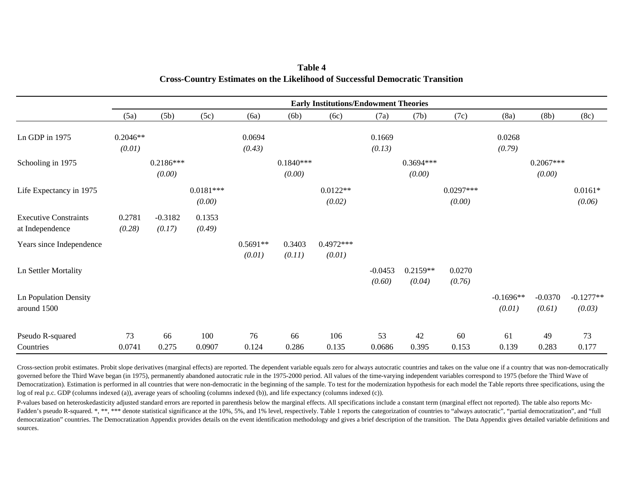|                                                 | <b>Early Institutions/Endowment Theories</b> |                       |                       |                      |                       |                       |                     |                       |                       |                       |                       |                       |
|-------------------------------------------------|----------------------------------------------|-----------------------|-----------------------|----------------------|-----------------------|-----------------------|---------------------|-----------------------|-----------------------|-----------------------|-----------------------|-----------------------|
|                                                 | (5a)                                         | (5b)                  | (5c)                  | (6a)                 | (6b)                  | (6c)                  | (7a)                | (7b)                  | (7c)                  | (8a)                  | (8b)                  | (8c)                  |
| Ln GDP in 1975                                  | $0.2046**$                                   |                       |                       | 0.0694               |                       |                       | 0.1669              |                       |                       | 0.0268                |                       |                       |
|                                                 | (0.01)                                       |                       |                       | (0.43)               |                       |                       | (0.13)              |                       |                       | (0.79)                |                       |                       |
| Schooling in 1975                               |                                              | $0.2186***$<br>(0.00) |                       |                      | $0.1840***$<br>(0.00) |                       |                     | $0.3694***$<br>(0.00) |                       |                       | $0.2067***$<br>(0.00) |                       |
| Life Expectancy in 1975                         |                                              |                       | $0.0181***$<br>(0.00) |                      |                       | $0.0122**$<br>(0.02)  |                     |                       | $0.0297***$<br>(0.00) |                       |                       | $0.0161*$<br>(0.06)   |
| <b>Executive Constraints</b><br>at Independence | 0.2781<br>(0.28)                             | $-0.3182$<br>(0.17)   | 0.1353<br>(0.49)      |                      |                       |                       |                     |                       |                       |                       |                       |                       |
| Years since Independence                        |                                              |                       |                       | $0.5691**$<br>(0.01) | 0.3403<br>(0.11)      | $0.4972***$<br>(0.01) |                     |                       |                       |                       |                       |                       |
| Ln Settler Mortality                            |                                              |                       |                       |                      |                       |                       | $-0.0453$<br>(0.60) | $0.2159**$<br>(0.04)  | 0.0270<br>(0.76)      |                       |                       |                       |
| <b>Ln Population Density</b><br>around 1500     |                                              |                       |                       |                      |                       |                       |                     |                       |                       | $-0.1696**$<br>(0.01) | $-0.0370$<br>(0.61)   | $-0.1277**$<br>(0.03) |
| Pseudo R-squared<br>Countries                   | 73<br>0.0741                                 | 66<br>0.275           | 100<br>0.0907         | 76<br>0.124          | 66<br>0.286           | 106<br>0.135          | 53<br>0.0686        | 42<br>0.395           | 60<br>0.153           | 61<br>0.139           | 49<br>0.283           | 73<br>0.177           |

**Table 4Cross-Country Estimates on the Likelihood of Successful Democratic Transition** 

Cross-section probit estimates. Probit slope derivatives (marginal effects) are reported. The dependent variable equals zero for always autocratic countries and takes on the value one if a country that was non-democratically governed before the Third Wave began (in 1975), permanently abandoned autocratic rule in the 1975-2000 period. All values of the time-varying independent variables correspond to 1975 (before the Third Wave of Democratization). Estimation is performed in all countries that were non-democratic in the beginning of the sample. To test for the modernization hypothesis for each model the Table reports three specifications, using the log of real p.c. GDP (columns indexed (a)), average years of schooling (columns indexed (b)), and life expectancy (columns indexed (c)).

P-values based on heteroskedasticity adjusted standard errors are reported in parenthesis below the marginal effects. All specifications include a constant term (marginal effect not reported). The table also reports Mc-Fadden's pseudo R-squared. \*, \*\*, \*\*\* denote statistical significance at the 10%, 5%, and 1% level, respectively. Table 1 reports the categorization of countries to "always autocratic", "partial democratization", and "full democratization" countries. The Democratization Appendix provides details on the event identification methodology and gives a brief description of the transition. The Data Appendix gives detailed variable definitions and sources.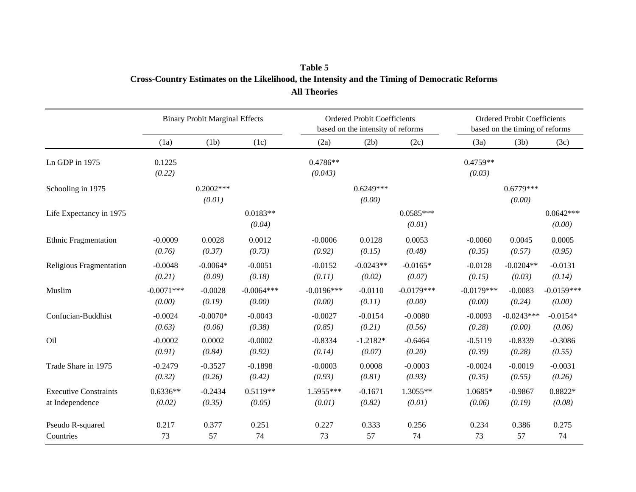## **Table 5 Cross-Country Estimates on the Likelihood, the Intensity and the Timing of Democratic Reforms All Theories**

|                              | <b>Binary Probit Marginal Effects</b> |                       |                      |                       | <b>Ordered Probit Coefficients</b><br>based on the intensity of reforms |                       |                      | <b>Ordered Probit Coefficients</b><br>based on the timing of reforms |                       |  |
|------------------------------|---------------------------------------|-----------------------|----------------------|-----------------------|-------------------------------------------------------------------------|-----------------------|----------------------|----------------------------------------------------------------------|-----------------------|--|
|                              | (1a)                                  | (1b)                  | (1c)                 | (2a)                  | (2b)                                                                    | (2c)                  | (3a)                 | (3b)                                                                 | (3c)                  |  |
| Ln GDP in 1975               | 0.1225<br>(0.22)                      |                       |                      | $0.4786**$<br>(0.043) |                                                                         |                       | $0.4759**$<br>(0.03) |                                                                      |                       |  |
| Schooling in 1975            |                                       | $0.2002***$<br>(0.01) |                      |                       | $0.6249***$<br>(0.00)                                                   |                       |                      | $0.6779***$<br>(0.00)                                                |                       |  |
| Life Expectancy in 1975      |                                       |                       | $0.0183**$<br>(0.04) |                       |                                                                         | $0.0585***$<br>(0.01) |                      |                                                                      | $0.0642***$<br>(0.00) |  |
| <b>Ethnic Fragmentation</b>  | $-0.0009$                             | 0.0028                | 0.0012               | $-0.0006$             | 0.0128                                                                  | 0.0053                | $-0.0060$            | 0.0045                                                               | 0.0005                |  |
|                              | (0.76)                                | (0.37)                | (0.73)               | (0.92)                | (0.15)                                                                  | (0.48)                | (0.35)               | (0.57)                                                               | (0.95)                |  |
| Religious Fragmentation      | $-0.0048$                             | $-0.0064*$            | $-0.0051$            | $-0.0152$             | $-0.0243**$                                                             | $-0.0165*$            | $-0.0128$            | $-0.0204**$                                                          | $-0.0131$             |  |
|                              | (0.21)                                | (0.09)                | (0.18)               | (0.11)                | (0.02)                                                                  | (0.07)                | (0.15)               | (0.03)                                                               | (0.14)                |  |
| Muslim                       | $-0.0071***$                          | $-0.0028$             | $-0.0064***$         | $-0.0196***$          | $-0.0110$                                                               | $-0.0179***$          | $-0.0179***$         | $-0.0083$                                                            | $-0.0159***$          |  |
|                              | (0.00)                                | (0.19)                | (0.00)               | (0.00)                | (0.11)                                                                  | (0.00)                | (0.00)               | (0.24)                                                               | (0.00)                |  |
| Confucian-Buddhist           | $-0.0024$                             | $-0.0070*$            | $-0.0043$            | $-0.0027$             | $-0.0154$                                                               | $-0.0080$             | $-0.0093$            | $-0.0243***$                                                         | $-0.0154*$            |  |
|                              | (0.63)                                | (0.06)                | (0.38)               | (0.85)                | (0.21)                                                                  | (0.56)                | (0.28)               | (0.00)                                                               | (0.06)                |  |
| Oil                          | $-0.0002$                             | 0.0002                | $-0.0002$            | $-0.8334$             | $-1.2182*$                                                              | $-0.6464$             | $-0.5119$            | $-0.8339$                                                            | $-0.3086$             |  |
|                              | (0.91)                                | (0.84)                | (0.92)               | (0.14)                | (0.07)                                                                  | (0.20)                | (0.39)               | (0.28)                                                               | (0.55)                |  |
| Trade Share in 1975          | $-0.2479$                             | $-0.3527$             | $-0.1898$            | $-0.0003$             | 0.0008                                                                  | $-0.0003$             | $-0.0024$            | $-0.0019$                                                            | $-0.0031$             |  |
|                              | (0.32)                                | (0.26)                | (0.42)               | (0.93)                | (0.81)                                                                  | (0.93)                | (0.35)               | (0.55)                                                               | (0.26)                |  |
| <b>Executive Constraints</b> | $0.6336**$                            | $-0.2434$             | $0.5119**$           | 1.5955***             | $-0.1671$                                                               | 1.3055**              | 1.0685*              | $-0.9867$                                                            | 0.8822*               |  |
| at Independence              | (0.02)                                | (0.35)                | (0.05)               | (0.01)                | (0.82)                                                                  | (0.01)                | (0.06)               | (0.19)                                                               | (0.08)                |  |
| Pseudo R-squared             | 0.217                                 | 0.377                 | 0.251                | 0.227                 | 0.333                                                                   | 0.256                 | 0.234                | 0.386                                                                | 0.275                 |  |
| Countries                    | 73                                    | 57                    | 74                   | 73                    | 57                                                                      | 74                    | 73                   | 57                                                                   | 74                    |  |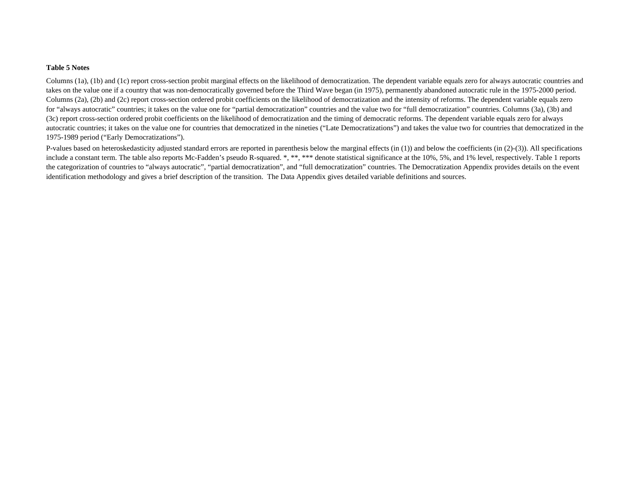#### **Table 5 Notes**

Columns (1a), (1b) and (1c) report cross-section probit marginal effects on the likelihood of democratization. The dependent variable equals zero for always autocratic countries and takes on the value one if a country that was non-democratically governed before the Third Wave began (in 1975), permanently abandoned autocratic rule in the 1975-2000 period. Columns (2a), (2b) and (2c) report cross-section ordered probit coefficients on the likelihood of democratization and the intensity of reforms. The dependent variable equals zero for "always autocratic" countries; it takes on the value one for "partial democratization" countries and the value two for "full democratization" countries. Columns (3a), (3b) and (3c) report cross-section ordered probit coefficients on the likelihood of democratization and the timing of democratic reforms. The dependent variable equals zero for always autocratic countries; it takes on the value one for countries that democratized in the nineties ("Late Democratizations") and takes the value two for countries that democratized in the 1975-1989 period ("Early Democratizations").

P-values based on heteroskedasticity adjusted standard errors are reported in parenthesis below the marginal effects (in (1)) and below the coefficients (in  $(2)-(3)$ ). All specifications include a constant term. The table also reports Mc-Fadden's pseudo R-squared. \*, \*\*, \*\*\* denote statistical significance at the 10%, 5%, and 1% level, respectively. Table 1 reports the categorization of countries to "always autocratic", "partial democratization", and "full democratization" countries. The Democratization Appendix provides details on the event identification methodology and gives a brief description of the transition. The Data Appendix gives detailed variable definitions and sources.